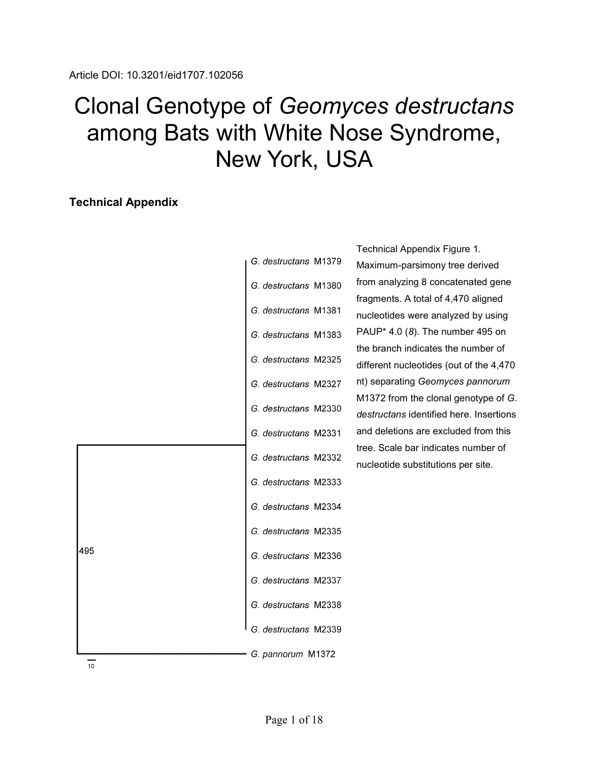## Clonal Genotype of *Geomyces destructans* among Bats with White Nose Syndrome, New York, USA

## **Technical Appendix**

| G. destructans M1379 |
|----------------------|
| G. destructans M1380 |
| G. destructans M1381 |
| G. destructans M1383 |
| G. destructans M2325 |
| G. destructans M2327 |
| G. destructans M2330 |
| G. destructans M2331 |
| G. destructans M2332 |
| G. destructans M2333 |
| G. destructans M2334 |
| G. destructans M2335 |
| G. destructans M2336 |
| G. destructans M2337 |
| G. destructans M2338 |
| G. destructans M2339 |
| G. pannorum M1372    |

Technical Appendix Figure 1. Maximum-parsimony tree derived from analyzing 8 concatenated gene fragments. A total of 4,470 aligned nucleotides were analyzed by using PAUP\* 4.0 (*8*). The number 495 on the branch indicates the number of different nucleotides (out of the 4,470 nt) separating *Geomyces pannorum* M1372 from the clonal genotype of *G. destructans* identified here. Insertions and deletions are excluded from this tree. Scale bar indicates number of nucleotide substitutions per site.

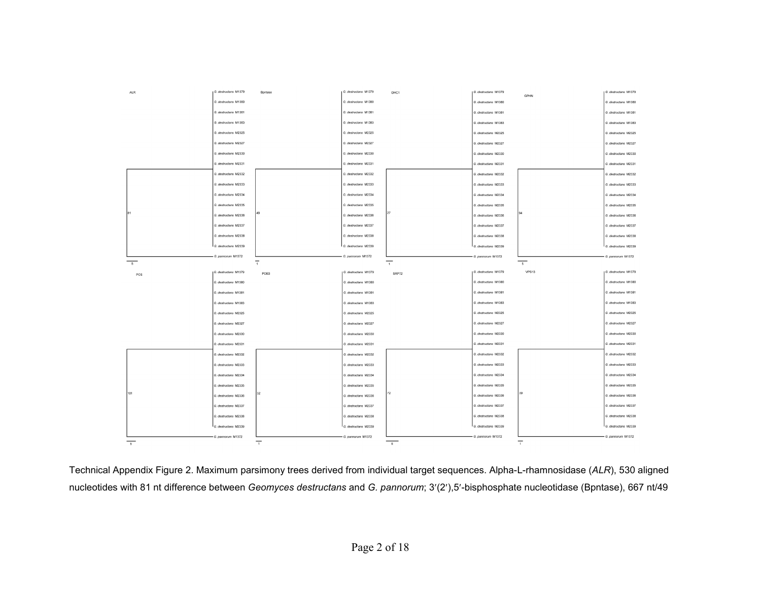| <b>ALR</b>               | G. destructans M1379 | Bontase        | G. destructans M1379 | DHC1           | G. destructans M1379 | <b>GPHN</b>              | G. destructans M1379 |
|--------------------------|----------------------|----------------|----------------------|----------------|----------------------|--------------------------|----------------------|
|                          | G. destructans M1380 |                | G. destructans M1380 |                | G. destructans M1380 |                          | G. destructans M1380 |
|                          | G. destructans M1381 |                | G. destructans M1381 |                | G. destructans M1381 |                          | G. destructans M1381 |
|                          | G. destructans M1383 |                | G. destructans M1383 |                | G. destructans M1383 |                          | G. destructans M1383 |
|                          | G. destructans M2325 |                | G. destructans M2325 |                | G. destructans M2325 |                          | G. destructans M2325 |
|                          | G. destructans M2327 |                | G. destructans M2327 |                | G. destructans M2327 |                          | G. destructans M2327 |
|                          | G. destructans M2330 |                | G. destructans M2330 |                | G. destructans M2330 |                          | G. destructans M2330 |
|                          | G. destructans M2331 |                | G. destructans M2331 |                | G. destructans M2331 |                          | G. destructans M2331 |
|                          | G. destructans M2332 |                | G. destructans M2332 |                | G. destructans M2332 |                          | G. destructans M2332 |
|                          | G. destructans M2333 |                | G. destructans M2333 |                | G. destructans M2333 |                          | G. destructans M2333 |
|                          | G. destructans M2334 |                | G. destructans M2334 |                | G. destructans M2334 |                          | G. destructans M2334 |
|                          | G. destructans M2335 |                | G. destructans M2335 |                | G. destructans M2335 |                          | G. destructans M2335 |
| 81                       | G. destructans M2336 | 49             | G. destructans M2336 |                | G. destructans M2336 |                          | G. destructans M2336 |
|                          | G. destructans M2337 |                | G. destructans M2337 |                | G. destructans M2337 |                          | G. destructans M2337 |
|                          | G. destructans M2338 |                | G. destructans M2338 |                | G. destructans M2338 |                          | G. destructans M2338 |
|                          | G. destructans M2339 |                | G. destructans M2339 |                | G. destructans M2339 |                          | G. destructans M2339 |
|                          | - G. pannorum M1372  |                | G. pannorum M1372    |                | G. pannorum M1372    |                          | G. pannorum M1372    |
| $\overline{\phantom{0}}$ |                      | $\overline{1}$ |                      | $\overline{1}$ |                      | $\overline{\phantom{0}}$ |                      |
| PCS                      | G. destructans M1379 | POB3           | G. destructans M1379 | SRP72          | G. destructans M1379 | VPS13                    | G. destructans M1379 |
|                          | G. destructans M1380 |                | G. destructans M1380 |                | G. destructans M1380 |                          | G. destructans M1380 |
|                          |                      |                |                      |                |                      |                          |                      |
|                          | G. destructans M1381 |                | G. destructans M1381 |                | G. destructans M1381 |                          | G. destructans M1381 |
|                          | G. destructans M1383 |                | G. destructans M1383 |                | G. destructans M1383 |                          | G. destructans M1383 |
|                          | G. destructans M2325 |                | G. destructans M2325 |                | G destructans M2325  |                          | G. destructans M2325 |
|                          | G. destructans M2327 |                | G. destructans M2327 |                | G. destructans M2327 |                          | G. destructans M2327 |
|                          | G. destructans M2330 |                | G. destructans M2330 |                | G. destructans M2330 |                          | G. destructans M2330 |
|                          | G. destructans M2331 |                | G. destructans M2331 |                | G. destructans M2331 |                          | G. destructans M2331 |
|                          | G. destructans M2332 |                | G. destructans M2332 |                | G. destructans M2332 |                          | G. destructans M2332 |
|                          | G. destructans M2333 |                | G. destructans M2333 |                | G. destructans M2333 |                          | G. destructans M2333 |
|                          | G. destructans M2334 |                | G. destructans M2334 |                | G. destructans M2334 |                          | G. destructans M2334 |
|                          | G. destructans M2335 |                | G. destructans M2335 |                | G. destructans M2335 |                          | G. destructans M2335 |
| 101                      | G. destructans M2336 |                | G. destructans M2336 | 72             | G. destructans M2336 | l 39                     | G. destructans M2336 |
|                          | G. destructans M2337 |                | G. destructans M2337 |                | G. destructans M2337 |                          | G. destructans M2337 |
|                          | G. destructans M2338 |                | G. destructans M2338 |                | G. destructans M2338 |                          | G. destructans M2338 |
|                          | G. destructans M2339 |                | G. destructans M2339 |                | G. destructans M2339 |                          | G. destructans M2339 |
| $\overline{\phantom{a}}$ | - G. pannorum M1372  | $\overline{1}$ | - G. pannorum M1372  | $-5$           | - G. pannorum M1372  | $\overline{1}$           | - G. pannorum M1372  |

Technical Appendix Figure 2. Maximum parsimony trees derived from individual target sequences. Alpha-L-rhamnosidase (*ALR*), 530 aligned nucleotides with 81 nt difference between *Geomyces destructans* and *G. pannorum*; 3′(2′),5′-bisphosphate nucleotidase (Bpntase), 667 nt/49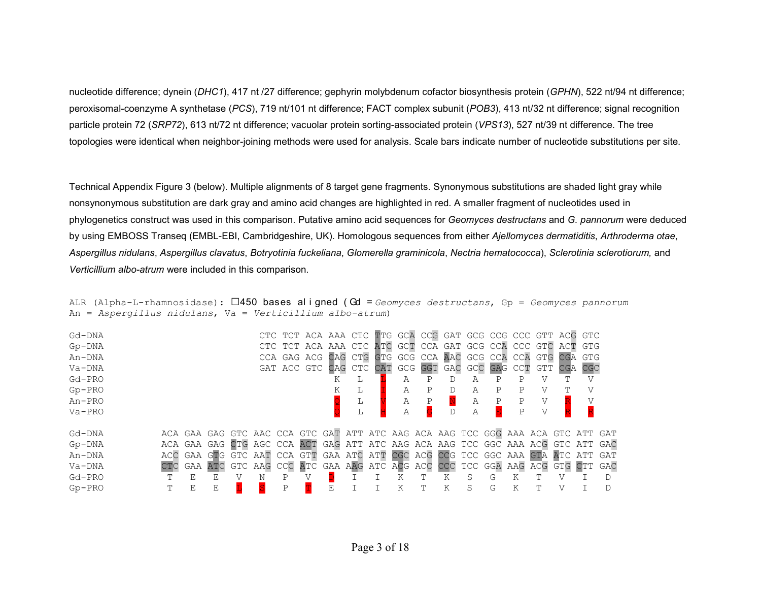nucleotide difference; dynein (*DHC1*), 417 nt /27 difference; gephyrin molybdenum cofactor biosynthesis protein (*GPHN*), 522 nt/94 nt difference; peroxisomal-coenzyme A synthetase (*PCS*), 719 nt/101 nt difference; FACT complex subunit (*POB3*), 413 nt/32 nt difference; signal recognition particle protein 72 (*SRP72*), 613 nt/72 nt difference; vacuolar protein sorting-associated protein (*VPS13*), 527 nt/39 nt difference. The tree topologies were identical when neighbor-joining methods were used for analysis. Scale bars indicate number of nucleotide substitutions per site.

Technical Appendix Figure 3 (below). Multiple alignments of 8 target gene fragments. Synonymous substitutions are shaded light gray while nonsynonymous substitution are dark gray and amino acid changes are highlighted in red. A smaller fragment of nucleotides used in phylogenetics construct was used in this comparison. Putative amino acid sequences for *Geomyces destructans* and *G. pannorum* were deduced by using EMBOSS Transeq (EMBL-EBI, Cambridgeshire, UK). Homologous sequences from either *Ajellomyces dermatiditis*, *Arthroderma otae*, *Aspergillus nidulans*, *Aspergillus clavatus*, *Botryotinia fuckeliana*, *Glomerella graminicola*, *Nectria hematococca*), *Sclerotinia sclerotiorum,* and *Verticillium albo-atrum* were included in this comparison.

| Gd-DNA   |     |     |    |                                                                                 |   |   |   | CTC TCT ACA AAA CTC TTG GCA CCG GAT GCG CCG CCC GTT ACG GTC |   |    |   |   |   |                |     |     |  |
|----------|-----|-----|----|---------------------------------------------------------------------------------|---|---|---|-------------------------------------------------------------|---|----|---|---|---|----------------|-----|-----|--|
| $Gp-DNA$ |     |     |    |                                                                                 |   |   |   | CTC TCT ACA AAA CTC ATC GCT CCA GAT GCG CCA CCC GTC ACT GTG |   |    |   |   |   |                |     |     |  |
| An-DNA   |     |     |    |                                                                                 |   |   |   | CCA GAG ACG CAG CTG GTG GCG CCA AAC GCG CCA CCA GTG CGA GTG |   |    |   |   |   |                |     |     |  |
| $Va-DNA$ |     |     |    |                                                                                 |   |   |   | GAT ACC GTC CAG CTC CAT GCG GGT GAC GCC GAG CCT GTT         |   |    |   |   |   |                | CGA | CGC |  |
| Gd-PRO   |     |     |    |                                                                                 |   | Κ | L |                                                             |   |    | А | Ρ | Ρ |                |     | V   |  |
| $Gp-PRO$ |     |     |    |                                                                                 |   |   | L | А                                                           |   | D. | А | Ρ | Ρ |                |     |     |  |
| An-PRO   |     |     |    |                                                                                 |   |   |   | Α                                                           | Ρ |    | Α | Ρ | Ρ | V              |     |     |  |
| $Va-PRO$ |     |     |    |                                                                                 |   |   |   | Α                                                           |   |    | Α |   | P | $\overline{V}$ |     |     |  |
| Gd-DNA   |     |     |    | ACA GAA GAG GTC AAC CCA GTC GAT ATT ATC AAG ACA AAG TCC GGG AAA ACA GTC ATT GAT |   |   |   |                                                             |   |    |   |   |   |                |     |     |  |
| $Gp-DNA$ |     |     |    | ACA GAA GAG CTG AGC CCA ACT GAG ATT ATC AAG ACA AAG TCC GGC AAA ACG GTC ATT GAC |   |   |   |                                                             |   |    |   |   |   |                |     |     |  |
| An-DNA   |     |     |    | ACC GAA GTG GTC AAT CCA GTT GAA ATC ATT CGC ACG CCG TCC GGC AAA GTA ATC ATT GAT |   |   |   |                                                             |   |    |   |   |   |                |     |     |  |
| Va-DNA   | CTC | GAA |    | ATC GTC AAG CCC ATC GAA AAG ATC ACG ACC CCC TCC GGA AAG ACG GTG CTT GAC         |   |   |   |                                                             |   |    |   |   |   |                |     |     |  |
| Gd-PRO   |     |     | F. |                                                                                 | Ρ |   |   |                                                             |   |    | S | G |   |                |     |     |  |
| $Gp-PRO$ |     |     | Ε  |                                                                                 |   |   |   |                                                             |   | K  | S | G | K |                |     |     |  |

ALR (Alpha-L-rhamnosidase): 450 bases al i gned ( Gd = *Geomyces destructans*, Gp = *Geomyces pannorum* An = *Aspergillus nidulans*, Va = *Verticillium albo-atrum*)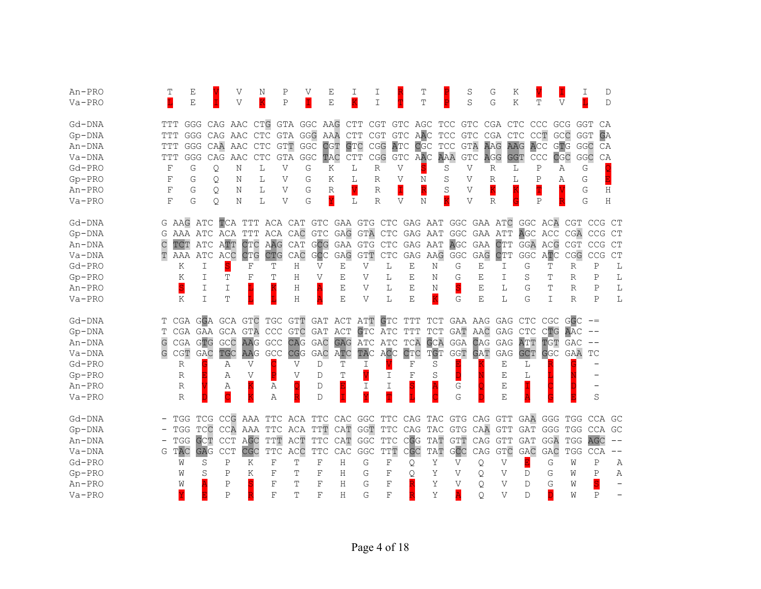| An-PRO   |     | Е                               |            |                         | V<br>Ν                                                                 |                | Ρ            | V                           | Ε                    | Ι                       | Ι                           |              | Τ                       |                 |                                                | S               | G            | Κ                             |             |              | I           | D           |
|----------|-----|---------------------------------|------------|-------------------------|------------------------------------------------------------------------|----------------|--------------|-----------------------------|----------------------|-------------------------|-----------------------------|--------------|-------------------------|-----------------|------------------------------------------------|-----------------|--------------|-------------------------------|-------------|--------------|-------------|-------------|
| $Va-PRO$ | L   | E                               |            |                         | V                                                                      |                | $\mathbf P$  |                             | E                    | $\overline{\mathrm{K}}$ | I                           |              | T                       |                 |                                                | S               | G            | Κ                             | Т           | $\mathbf{V}$ |             | $\mathbb D$ |
| Gd-DNA   | TTT |                                 | GGG        | CAG AAC CTG GTA GGC AAG |                                                                        |                |              |                             |                      | CTT                     | CGT                         |              | GTC AGC                 |                 | TCC GTC CGA CTC                                |                 |              |                               | CCC         | GCG          | GGT         | CA          |
| $Gp-DNA$ | TTT |                                 | GGG        | CAG AAC                 | CTC                                                                    |                | GTA GGG      |                             | AAA                  | CTT                     | <b>CGT</b>                  | GTC          | AAC                     |                 | $\mathbb{T}\mathbb{C}\mathbb{C}$<br><b>GTC</b> |                 | CGA CTC      |                               | CCT         | GCC          | <b>GGT</b>  | GA          |
| An-DNA   | TTT | <b>GGG</b>                      |            | CAA<br>AAC              |                                                                        | <b>CTC</b>     | <b>GTT</b>   | GGC                         | <b>CGT</b>           | <b>GTC</b>              | CGG                         | ATC          | CGC                     |                 | <b>GTA</b><br>$\mathbb{T}\mathbb{C}\mathbb{C}$ |                 | AAG          | AAG                           | ACC         | GTG          | GGC         | CA          |
| Va-DNA   | TTT |                                 | <b>GGG</b> | CAG<br>AAC              | CTC                                                                    |                | GTA GGC      |                             | TAC                  | ${\tt CTT}$             | CGG                         |              | GTC AAC                 |                 | AAA<br>GTC                                     |                 | AGG          | <b>GGT</b>                    | CCC         | CGC          | GGC         | CA          |
| $Gd-PRO$ | F   | G                               |            | Q.                      | N                                                                      | L              | V            | G                           | Κ                    | L                       | $\mathbb{R}$                | $\mathbf{V}$ |                         |                 | S                                              | V               | R            | L                             | $\mathbf P$ | Α            | G           |             |
| $Gp-PRO$ | F   | G                               |            | Q.                      | Ν                                                                      | L              | V            | G                           | Κ                    | L                       | R                           | V            | Ν                       |                 | S                                              | V               | R            | L                             | Ρ           | Α            | G           |             |
| $An-PRO$ | F   | G                               |            | Q.                      | Ν                                                                      | L              | V            | G                           | $\mathbb R$          |                         | $\mathbb R$                 | I            | $\overline{\mathsf{R}}$ |                 | S                                              | V               | K            |                               |             |              | G           | Η           |
| $Va-PRO$ | F   | G                               |            | О                       | Ν                                                                      | L              | V            | G                           | Ÿ                    | L                       | R                           | V            | Ν                       |                 | $\overline{\mathrm{K}}$                        | V               | $\mathbb{R}$ |                               | Ρ           |              | G           | Η           |
| Gd-DNA   |     | G AAG ATC                       |            |                         | TCA TTT ACA CAT GTC GAA GTG CTC GAG AAT GGC GAA ATC GGC ACA CGT CCG CT |                |              |                             |                      |                         |                             |              |                         |                 |                                                |                 |              |                               |             |              |             |             |
| $Gp-DNA$ | G   |                                 |            | AAA ATC ACA             | TTT                                                                    |                |              | ACA CAC GTC GAG GTA         |                      |                         |                             |              |                         |                 | CTC GAG AAT GGC GAA ATT AGC ACC CGA CCG        |                 |              |                               |             |              |             | CT          |
| An-DNA   |     | TCT                             | ATC        | ATT                     | CTC                                                                    | AAG            | CAT          |                             | GCG GAA GTG          |                         | $\ensuremath{\mathsf{CTC}}$ |              |                         | GAG AAT         | AGC                                            | GAA CTT GGA ACG |              |                               |             | <b>CGT</b>   | CCG         | CT          |
| Va-DNA   |     | AAA                             | ATC        | ACC                     | <b>CTG</b>                                                             | CTG            | CAC          | GCC                         | $\operatorname{GAG}$ | GTT                     | ${\rm CTC}$                 |              |                         |                 | GAG AAG GGC                                    | GAG             | <b>CTT</b>   | $\operatorname{\mathsf{GGC}}$ | ATC         | CGG          | CCG         | CT          |
| $Gd-PRO$ |     | Κ                               | I          |                         | F                                                                      | Т              | Η            | V                           | Ε                    | V                       | L                           |              | Ε                       | Ν               | G                                              | Ε               | I            | G                             | Т           | R            | Ρ           | L           |
| $Gp-PRO$ |     | K                               | I          | Т                       | F                                                                      | Т              | Η            | V                           | Е                    | V                       | L                           |              | Ε                       | Ν               | G                                              | Ε               | T            | S                             | Т           | R            | Ρ           | L           |
| An-PRO   |     | S                               | I          | I                       |                                                                        |                | Η            | Ä                           | Ε                    | V                       | L                           |              | E                       | N               | S                                              | Е               | L            | G                             | Т           | R            | Ρ           | L           |
| Va-PRO   |     | K                               | I          | T                       |                                                                        |                | H            | A                           | Ε                    | V                       | L                           |              | Ε                       | K               | G                                              | E               | L            | G                             | I           | $\mathbb{R}$ | Ρ           | L           |
| Gd-DNA   | T.  | CGA                             |            | <b>GGA GCA GTC</b>      |                                                                        |                |              | TGC GTT GAT ACT ATT GTC TTT |                      |                         |                             |              |                         |                 | TCT GAA AAG GAG CTC CGC GGC                    |                 |              |                               |             |              |             |             |
| $Gp-DNA$ |     |                                 |            | CGA GAA GCA             | GTA                                                                    |                |              | CCC GTC GAT ACT             |                      |                         |                             |              |                         | GTC ATC TTT TCT |                                                | GAT AAC GAG     |              | CTC                           | CTG         | AAC          |             |             |
| An-DNA   | G   | CGA GTG                         |            | GCC                     | AAG                                                                    | GCC            |              | CAG GAC                     |                      | GAG ATC ATC             |                             |              | TCA                     | <b>GCA</b>      |                                                | GGA CAG GAG ATT |              |                               | TGT         | GAC          | $- -$       |             |
| $Va-DNA$ |     | $\mathbb C \mathbb G \mathbb T$ | GAC        | TGC                     | AAG                                                                    | $\mathsf{GCC}$ | CGG          | GAC                         | ATC                  | TAC                     | ACC                         |              | CTC                     | TGT             |                                                | GGT GAT         | GAG          | <b>GCT</b>                    | <b>GGC</b>  | GAA          | ТC          |             |
| $Gd-PRO$ |     | R                               |            | Α                       | V                                                                      |                | V            | D                           | Т                    | I                       |                             |              | F                       | S               |                                                |                 | Ε            | L                             |             |              |             |             |
| $Gp-PRO$ |     | R                               |            | Α                       | V                                                                      |                | $\mathbf{V}$ | D                           | Т                    |                         | I                           |              | F                       | S               |                                                |                 | Ε            | L                             |             |              |             |             |
| An-PRO   |     | R                               |            | Α                       |                                                                        | Α              | Q            | D                           |                      | Ι                       | I                           |              |                         |                 | G                                              |                 | Ε            |                               |             |              |             |             |
| $Va-PRO$ |     | $\mathbb{R}$                    |            | $\overline{\text{C}}$   |                                                                        | A              | R            | $\mathbb D$                 |                      |                         | m                           |              |                         |                 | G                                              |                 | E            |                               |             |              | S           |             |
| Gd-DNA   |     | TGG                             | TCG        |                         | CCG AAA TTC ACA TTC CAC GGC TTC CAG TAC GTG CAG GTT GAA GGG            |                |              |                             |                      |                         |                             |              |                         |                 |                                                |                 |              |                               |             | TGG          | CCA         | GC          |
| $Gp-DNA$ |     | TGG                             | TCC        |                         | CCA AAA                                                                |                |              | TTC ACA TTT                 |                      | CAT GGT                 | <b>TTC</b>                  |              |                         |                 | CAG TAC GTG CAA                                |                 | GTT          | GAT                           | GGG         | TGG          | <b>CCA</b>  | GC          |
| An-DNA   |     | TGG                             | <b>GCT</b> | <b>CCT</b>              | AGC                                                                    | $_{\rm TTT}$   | ACT          | TTC                         |                      | CAT GGC                 | $_{\mathrm{TTC}}$           |              | CGG                     | TAT             | GTT CAG GTT                                    |                 |              | GAT                           | GGA         | TGG          | AGC         | $\qquad -$  |
| Va-DNA   |     | G TAC                           | <b>GAG</b> | <b>CCT</b>              | CGC                                                                    | $_{\rm TTC}$   | ACC          | $_{\rm TTC}$                | CAC                  | GGC                     | $_{\rm TTT}$                |              | CGC                     | TAT             | GCC                                            | CAG             | <b>GTC</b>   | GAC                           | GAC         | TGG          | CCA         | $-\,-$      |
| Gd-PRO   |     | W                               | S          | $\, {\bf P}$            | Κ                                                                      | $\rm F$        | T            | $\mathbf F$                 | Η                    | G                       | $\mathbf F$                 |              | Q                       | Υ               | V                                              | Q               | V            |                               | G           | W            | Ρ           | Α           |
| $Gp-PRO$ |     | W                               | S          | P                       | K                                                                      | F              | Τ            | F                           | Η                    | G                       | $\rm F$                     |              | Q                       | Y               | V                                              | Q.              | V            | D                             | G           | W            | $\mathbf P$ | Α           |
| An-PRO   |     | W                               |            | $\mathbb P$             |                                                                        | F              | Τ            | F                           | Н                    | G                       | F                           |              |                         | Y               | V                                              | O               | V            | $\mathcal{D}$                 | G           | W            | S           |             |
| $Va-PRO$ |     |                                 |            | $\, {\bf P}$            |                                                                        | F              | Т            | F                           | Η                    | G                       | F                           |              |                         | Y               | Ā                                              | O               | V            | D                             | D           | W            | P           |             |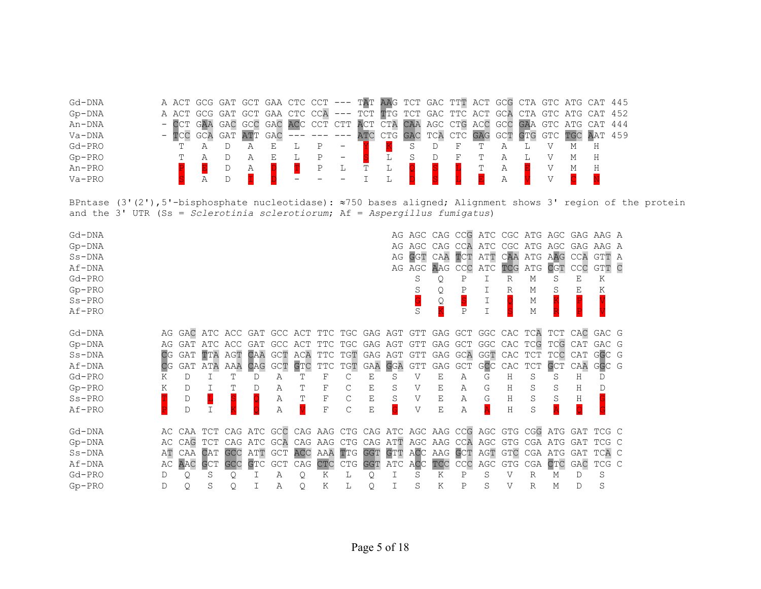| Gd-DNA   | A ACT GCG GAT GCT GAA CTC CCT --- TAT AAG TCT GAC TTT ACT GCG CTA GTC ATG CAT 445 |  |             |  |                           |  |  |                                                     |  |  |  |   |  |
|----------|-----------------------------------------------------------------------------------|--|-------------|--|---------------------------|--|--|-----------------------------------------------------|--|--|--|---|--|
| $Gp-DNA$ | A ACT GCG GAT GCT GAA CTC CCA                                                     |  |             |  |                           |  |  | --- TCT TTG TCT GAC TTC ACT GCA CTA GTC ATG CAT 452 |  |  |  |   |  |
| An-DNA   | - CCT GAA GAC GCC GAC ACC CCT CTT ACT CTA CAA AGC CTG ACC GCC GAA GTC ATG CAT 444 |  |             |  |                           |  |  |                                                     |  |  |  |   |  |
| Va-DNA   |                                                                                   |  | GAT ATT GAC |  | $--- --- --- ATC CTG GAC$ |  |  | TCA CTC GAG GCT GTG GTC TGC AAT 459                 |  |  |  |   |  |
| Gd-PRO   |                                                                                   |  |             |  |                           |  |  |                                                     |  |  |  |   |  |
| $Gp-PRO$ |                                                                                   |  |             |  |                           |  |  |                                                     |  |  |  | H |  |
| An-PRO   |                                                                                   |  |             |  |                           |  |  |                                                     |  |  |  |   |  |
| $Va-PRO$ |                                                                                   |  |             |  |                           |  |  |                                                     |  |  |  |   |  |

BPntase (3'(2'),5'-bisphosphate nucleotidase): ≈750 bases aligned; Alignment shows 3' region of the protein and the 3' UTR (Ss = *Sclerotinia sclerotiorum*; Af = *Aspergillus fumigatus*)

| Gd-DNA   |     |                                                                                  |         |     |                                 |     |     |             |     |         |   |         |                        |     |         |   |   |                                                             |     | AG AGC CAG CCG ATC CGC ATG AGC GAG AAG A |  |
|----------|-----|----------------------------------------------------------------------------------|---------|-----|---------------------------------|-----|-----|-------------|-----|---------|---|---------|------------------------|-----|---------|---|---|-------------------------------------------------------------|-----|------------------------------------------|--|
| $Gp-DNA$ |     |                                                                                  |         |     |                                 |     |     |             |     |         |   | AG AGC  | CAG                    | CCA |         |   |   | ATC CGC ATG AGC                                             | GAG | AAG A                                    |  |
| $Ss-DNA$ |     |                                                                                  |         |     |                                 |     |     |             |     |         |   |         | AG GGT CAA TCT ATT     |     |         |   |   | CAA ATG AAG                                                 | CCA | GTT A                                    |  |
| Af-DNA   |     |                                                                                  |         |     |                                 |     |     |             |     |         |   |         | AG AGC AAG CCC ATC TCG |     |         |   |   | ATG CGT                                                     | CCC | GTT C                                    |  |
| $Gd-PRO$ |     |                                                                                  |         |     |                                 |     |     |             |     |         |   | S       | Q                      | Ρ   |         | R | М | S                                                           | Ε   | Κ                                        |  |
| $Gp-PRO$ |     |                                                                                  |         |     |                                 |     |     |             |     |         |   |         |                        |     |         | R | М | S                                                           | Ε   | Κ                                        |  |
| $Ss-PRO$ |     |                                                                                  |         |     |                                 |     |     |             |     |         |   |         | Q                      |     |         |   | Μ |                                                             |     |                                          |  |
| Af-PRO   |     |                                                                                  |         |     |                                 |     |     |             |     |         |   | S       |                        | P   |         |   | Μ |                                                             |     |                                          |  |
| Gd-DNA   |     | AG GAC ATC ACC GAT GCC ACT TTC TGC GAG AGT GTT GAG GCT GGC CAC TCA TCT CAC GAC G |         |     |                                 |     |     |             |     |         |   |         |                        |     |         |   |   |                                                             |     |                                          |  |
| $Gp-DNA$ |     | AG GAT                                                                           | ATC ACC |     | GAT GCC ACT TTC TGC GAG AGT GTT |     |     |             |     |         |   |         |                        |     |         |   |   | GAG GCT GGC CAC TCG TCG CAT                                 |     | GAC G                                    |  |
| $Ss-DNA$ | CG  | GAT                                                                              |         |     | TTA AGT CAA GCT ACA             |     |     |             |     |         |   |         |                        |     |         |   |   | TTC TGT GAG AGT GTT GAG GCA GGT CAC TCT TCC CAT             |     | GGC G                                    |  |
| Af-DNA   | CG  | GAT                                                                              | ATA     |     | AAA CAG                         | GCT | GTC | TTC         | TGT | GAA GGA |   | GTT     |                        |     |         |   |   | GAG GCT GCC CAC TCT GCT                                     | CAA | GGC G                                    |  |
| $Gd-PRO$ | Κ   | D                                                                                |         | Т   | D                               | Α   | т   | F           | C   | Ε       | S | V       |                        | Α   | G       | Н | S | S                                                           | Η   | D                                        |  |
| $Gp-PRO$ | K   | D                                                                                |         |     | Ð                               | Α   | Т   | F           |     | Е       | S | V       | Ε                      | А   | G       | Н | S | S                                                           | Η   |                                          |  |
| $Ss-PRO$ |     | D                                                                                |         |     |                                 | Α   | Т   | $\mathbf F$ | C   | Ε       | S | V       | Е                      | Α   | G       | Н | S | S                                                           | Η   |                                          |  |
| Af-PRO   |     | D                                                                                |         |     |                                 |     |     | F           | С   | Ε       |   | V       | Ε                      | Α   |         | Η | S |                                                             |     |                                          |  |
| Gd-DNA   |     | AC CAA TCT CAG ATC GCC CAG AAG CTG CAG ATC AGC AAG CCG AGC GTG CGG ATG GAT TCG C |         |     |                                 |     |     |             |     |         |   |         |                        |     |         |   |   |                                                             |     |                                          |  |
| $Gp-DNA$ | AC. |                                                                                  | CAG TCT | CAG |                                 |     |     |             |     |         |   |         |                        |     |         |   |   | ATC GCA CAG AAG CTG CAG ATT AGC AAG CCA AGC GTG CGA ATG GAT |     | TCG C                                    |  |
| $Ss-DNA$ | AТ  |                                                                                  | CAA CAT | GCC | ATT GCT                         |     | ACC | AAA TTG     |     |         |   |         |                        |     |         |   |   | GGT GTT ACC AAG GCT AGT GTC CGA ATG GAT                     |     | TCA C                                    |  |
| Af-DNA   | AC. | AAC                                                                              | GCT     | GCC | GTC                             | GCT | CAG | CTC         | CTG | GGT     |   | ATC ACC | TCC                    | CCC | AGC GTG |   |   | CGA CTC GAC                                                 |     | TCG C                                    |  |
| $Gd-PRO$ | D   | Q.                                                                               | S       | Q   |                                 | Α   | Q   | Κ           | L   | Q       |   | S       | Κ                      | Ρ   | S       | V | R | М                                                           | D   | S                                        |  |
| $Gp-PRO$ |     | Q                                                                                | S       | Q   |                                 | Α   | Q   | Κ           | L   | Q       |   | S       | K                      | Ρ   | S       | V | R | М                                                           | D   | S                                        |  |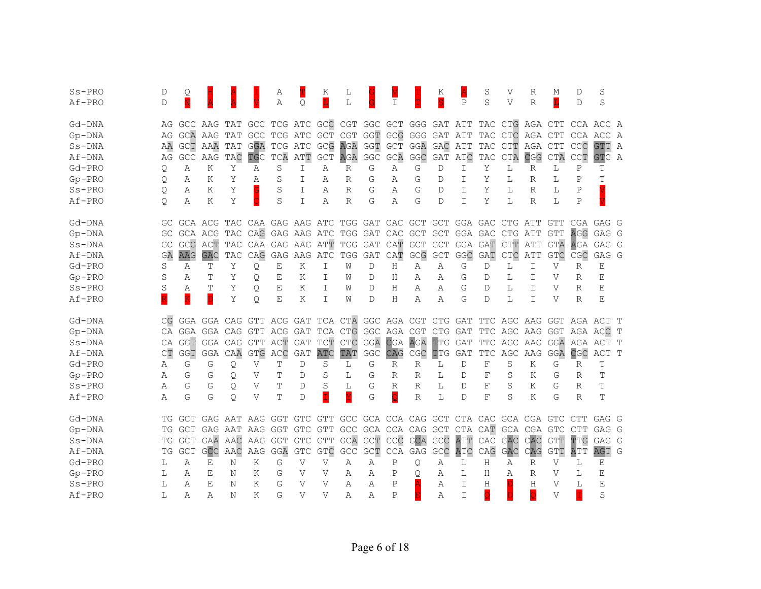| $Ss-PRO$ | D   | Q                           |                             |         |                 | Α              |              | Κ              | L              |                               |                                     |            | Κ          |              | S          | V       | R                                                         | М          | D           | S          |              |
|----------|-----|-----------------------------|-----------------------------|---------|-----------------|----------------|--------------|----------------|----------------|-------------------------------|-------------------------------------|------------|------------|--------------|------------|---------|-----------------------------------------------------------|------------|-------------|------------|--------------|
| Af-PRO   | D   |                             |                             |         |                 | $\overline{A}$ | Q.           | L              | L              |                               | $\mathbf I$                         |            |            | $\mathsf{P}$ | S          | V       | $\mathbb{R}$                                              | L          | D           | S          |              |
|          |     |                             |                             |         |                 |                |              |                |                |                               |                                     |            |            |              |            |         |                                                           |            |             |            |              |
| Gd-DNA   | AG  |                             | GCC AAG TAT GCC             |         |                 |                |              |                |                |                               |                                     |            |            |              |            |         | TCG ATC GCC CGT GGC GCT GGG GAT ATT TAC CTG AGA CTT       |            | CCA ACC A   |            |              |
| $Gp-DNA$ | AG  |                             | <b>GCA AAG TAT</b>          |         | <b>GCC</b>      |                |              |                |                |                               | TCG ATC GCT CGT GGT GCG GGG GAT ATT |            |            |              |            | TAC CTC | AGA CTT                                                   |            | CCA ACC A   |            |              |
| $Ss-DNA$ | ΑA  | GCT                         | AAA                         | TAT     | GGA             | TCG            | ATC          | GCG            |                | AGA GGT GCT                   |                                     | GGA        | GAC        | ATT          | TAC        | CTT     | AGA CTT                                                   |            | CCC         | GTT A      |              |
| Af-DNA   | AG  | GCC                         | AAG                         | TAC     | TGC             | TCA            | ATT          | <b>GCT</b>     | AGA            | $\operatorname{\mathsf{GGC}}$ | GCA                                 | GGC        | GAT        | ATC          | TAC        | CTA     | CGG                                                       | CTA        | <b>CCT</b>  | <b>GTC</b> | A            |
| Gd-PRO   | Q   | Α                           | K                           | Υ       | Α               | S              | I            | Α              | R              | G                             | Α                                   | G          | D          | I            | Υ          | L       | R                                                         | L          | $\mathbf P$ | Т          |              |
| $Gp-PRO$ | Q   | Α                           | K                           | Y       | A               | S              | I            | Α              | R              | G                             | Α                                   | G          | D          | I            | Y          | L       | R                                                         | L          | P           | T          |              |
| $Ss-PRO$ | Q   | Α                           | K                           | Υ       |                 | S              | I            | Α              | $\mathbb R$    | G                             | Α                                   | G          | D          | I            | Υ          | L       | $\mathbb{R}$                                              | L          | Ρ           |            |              |
| Af-PRO   | Q.  | Α                           | K                           | Υ       |                 | S              | I            | Α              | $\mathbb{R}$   | G                             | Α                                   | G          | D          | T            | Υ          | L       | $\mathbb{R}$                                              | L          | $\mathbf P$ |            |              |
| Gd-DNA   | GC. |                             | GCA ACG TAC CAA GAG AAG ATC |         |                 |                |              |                |                |                               | TGG GAT CAC GCT                     |            | <b>GCT</b> | GGA GAC      |            | CTG ATT |                                                           | GTT        | CGA         | GAG G      |              |
| $Gp-DNA$ | GC  |                             | GCA ACG TAC CAG             |         |                 | GAG AAG ATC    |              |                |                | TGG GAT                       | CAC GCT                             |            | <b>GCT</b> | GGA GAC      |            | CTG ATT |                                                           | <b>GTT</b> | <b>AGG</b>  | GAG G      |              |
| $Ss-DNA$ | GC  | GCG                         | ACT                         | TAC     | CAA             | GAG            | AAG          | ATT            | TGG            | GAT                           | CAT                                 | <b>GCT</b> | <b>GCT</b> | GGA          | GAT        | CTT     | ATT                                                       | GTA        | AGA         | GAG G      |              |
| Af-DNA   | GA  | AAG                         | <b>GAC</b>                  | TAC     | CAG             | GAG            | AAG          | ATC            | TGG            | GAT                           | CAT                                 | GCG        | <b>GCT</b> | GGC          | GAT        | CTC     | ATT                                                       | <b>GTC</b> | CGC         | GAG G      |              |
| Gd-PRO   | S   | Α                           | Т                           | Υ       | Q               | Е              | Κ            | I              | W              | D                             | Η                                   | Α          | Α          | G            | D          | L       | I.                                                        | V          | R           | Ε          |              |
| $Gp-PRO$ | S   | Α                           | Т                           | Y       | Q.              | Ε              | Κ            | I              | W              | D                             | Η                                   | Α          | Α          | G            | D          | L       | T                                                         | V          | R           | E          |              |
| $Ss-PRO$ | S   | Α                           | Ͳ                           | Y       | Q.              | Ε              | Κ            | T              | W              | D                             | Η                                   | Α          | Α          | G            | D          | L       | T                                                         | V          | R           | E          |              |
| Af-PRO   |     | K                           | D                           | Υ       | $\circ$         | Ε              | Κ            | T              | W              | D                             | Η                                   | Α          | Α          | G            | D          | L       | I                                                         | V          | R           | E          |              |
| Gd-DNA   | CG  |                             | GGA GGA CAG GTT ACG         |         |                 |                |              |                |                |                               |                                     |            |            |              |            |         | GAT TCA CTA GGC AGA CGT CTG GAT TTC AGC AAG GGT AGA ACT T |            |             |            |              |
| $Gp-DNA$ | СA  |                             | GGA GGA CAG GTT ACG         |         |                 |                | GAT          | TCA CTG        |                |                               | GGC AGA CGT                         |            |            |              |            |         | CTG GAT TTC AGC AAG GGT AGA ACC T                         |            |             |            |              |
| $Ss-DNA$ | СA  | GGT                         | GGA CAG GTT                 |         |                 | ACT            | <b>GAT</b>   | TCT            | CTC            | GGA                           | <b>CGA</b>                          | AGA        | TTG        | GAT          |            |         | TTC AGC AAG GGA AGA ACT T                                 |            |             |            |              |
| Af-DNA   | CT  | <b>GGT</b>                  | GGA                         | CAA     | <b>GTG</b>      | ACC            | <b>GAT</b>   | <b>ATC</b>     | TAT            | GGC                           | CAG                                 | CGC        | TTG        | <b>GAT</b>   | <b>TTC</b> | AGC     | AAG                                                       | GGA        | CGC         | ACT        | $\mathbb{T}$ |
| Gd-PRO   | Α   | G                           | G                           | Q       | V               | Т              | D            | S              | L              | G                             | R                                   | R          | L          | D            | F          | S       | Κ                                                         | G          | R           | Т          |              |
| $Gp-PRO$ | Α   | G                           | G                           | Q       | V               | Т              | D            | S              | L              | G                             | $\mathbb R$                         | R          | L          | D            | F          | S       | Κ                                                         | G          | $\mathbb R$ | T          |              |
| $Ss-PRO$ | Α   | G                           | G                           | Q       | V               | Τ              | D            | S              | L              | G                             | $\mathbb{R}$                        | R          | L          | D            | F          | S       | Κ                                                         | G          | R           | Т          |              |
| Af-PRO   | Α   | G                           | G                           | $\circ$ | V               | т              | D            | İ              | Ÿ              | G                             | $\overline{\mathtt{Q}}$             | R          | L          | D            | F          | S       | Κ                                                         | G          | R           | T          |              |
| Gd-DNA   | ТG  | GCT                         |                             |         | GAG AAT AAG GGT |                | GTC GTT      |                |                |                               | GCC GCA CCA CAG GCT                 |            |            |              |            |         | CTA CAC GCA CGA GTC CTT                                   |            |             | GAG G      |              |
| $Gp-DNA$ | ТG  | GCT                         |                             | GAG AAT | AAG GGT         |                | <b>GTC</b>   | GTT            |                |                               | GCC GCA CCA CAG GCT                 |            |            | <b>CTA</b>   | CAT        |         | GCA CGA GTC                                               |            | <b>CTT</b>  | GAG G      |              |
| $Ss-DNA$ | ΤG  | <b>GCT</b>                  | GAA AAC                     |         | AAG             | GGT            | <b>GTC</b>   | GTT            |                |                               | GCA GCT CCC GCA                     |            | GCC        | ATT          | CAC        | GAC     | CAC                                                       | <b>GTT</b> | TTG         | GAG G      |              |
| Af-DNA   | TG  | $\ensuremath{\mathsf{GCT}}$ | GCC                         | AAC     | AAG             | GGA            | GTC          | <b>GTC</b>     | $\mathsf{GCC}$ | GCT                           | CCA GAG                             |            | GCC        | ATC          | CAG        | GAC     | CAG                                                       | GTT        | ATT         | AGT        | G            |
| Gd-PRO   | L   | Α                           | E                           | Ν       | Κ               | G              | $\mathbf{V}$ | V              | Α              | Α                             | $\mathbf P$                         | Q          | Α          | L            | Н          | Α       | R                                                         | V          | L           | Ε          |              |
| $Gp-PRO$ | L   | Α                           | Е                           | Ν       | K               | G              | V            | V              | Α              | Α                             | Ρ                                   | Q          | Α          | L            | Н          | А       | R                                                         | V          | L           | Ε          |              |
| $Ss-PRO$ | L   | Α                           | Е                           | Ν       | K               | G              | V            | V              | Α              | Α                             | Ρ                                   |            | Α          | I            | Η          |         | Η                                                         | V          | L           | Ε          |              |
| Af-PRO   | L   | Α                           | Α                           | Ν       | K               | G              | V            | $\overline{V}$ | Α              | Α                             | $\mathbf{P}$                        |            | Α          | I            | Q          |         | Q                                                         | V          | T           | S          |              |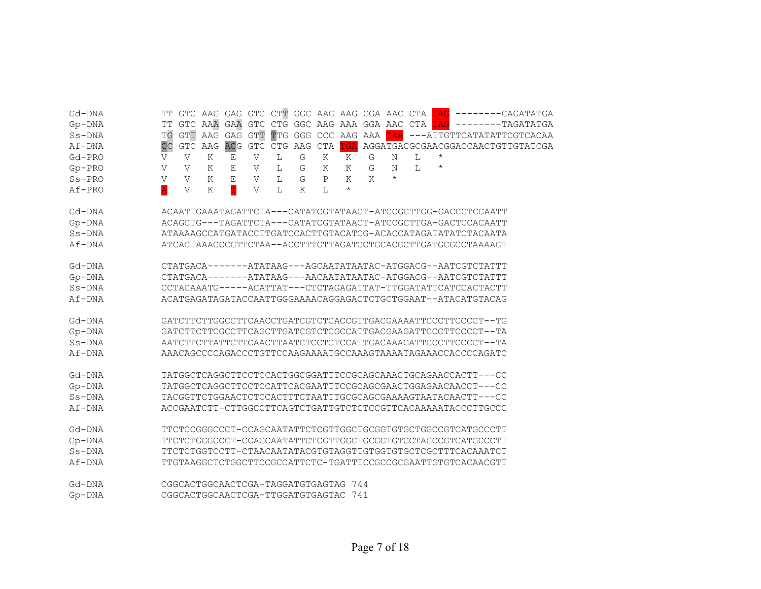| Gd-DNA   | ጥጥ                      |              |         |             |              |                 |               |             |                                      |   |            |   |            | GTC AAG GAG GTC CTT GGC AAG AAG GGA AAC CTA TAG --------CAGATATGA |
|----------|-------------------------|--------------|---------|-------------|--------------|-----------------|---------------|-------------|--------------------------------------|---|------------|---|------------|-------------------------------------------------------------------|
| Gp-DNA   | ТT                      |              |         |             |              |                 |               |             |                                      |   |            |   |            | GTC AAA GAA GTC CTG GGC AAG AAA GGA AAC CTA TAG --------TAGATATGA |
| $Ss-DNA$ | <b>TG</b>               | <b>GTT</b>   |         | AAG GAG GTT |              |                 |               |             | TTG GGG CCC AAG AAA TAA              |   |            |   |            | ---ATTGTTCATATATTCGTCACAA                                         |
| Af-DNA   | CC                      | GTC          | AAG     | <b>ACG</b>  |              | GTC CTG AAG CTA |               |             | TGA                                  |   |            |   |            | AGGATGACGCGAACGGACCAACTGTTGTATCGA                                 |
| $Gd-PRO$ | V                       | $\mathbf{V}$ | K       | Е           | V            | L               | G             | Κ           | K                                    | G | N          | L | $^\star$   |                                                                   |
| $Gp-PRO$ | V                       | V            | K       | Ε           | V            | L               | G             | Κ           | K                                    | G | N          | L | $^{\star}$ |                                                                   |
| $Ss-PRO$ | V                       | V            | K       | $\mathbf E$ | $\mathbf V$  | L               | ${\mathbb G}$ | $\mathbf P$ | K                                    | K | $^{\star}$ |   |            |                                                                   |
| Af-PRO   | $\overline{\mathtt{A}}$ | V            | $\rm K$ | T           | $\mathbf{V}$ | L               | K             | L           | $\star$                              |   |            |   |            |                                                                   |
|          |                         |              |         |             |              |                 |               |             |                                      |   |            |   |            |                                                                   |
| Gd-DNA   |                         |              |         |             |              |                 |               |             |                                      |   |            |   |            | ACAATTGAAATAGATTCTA---CATATCGTATAACT-ATCCGCTTGG-GACCCTCCAATT      |
| Gp-DNA   |                         |              |         |             |              |                 |               |             |                                      |   |            |   |            | ACAGCTG---TAGATTCTA---CATATCGTATAACT-ATCCGCTTGA-GACTCCACAATT      |
| $Ss-DNA$ |                         |              |         |             |              |                 |               |             |                                      |   |            |   |            | ATAAAAGCCATGATACCTTGATCCACTTGTACATCG-ACACCATAGATATATCTACAATA      |
| Af-DNA   |                         |              |         |             |              |                 |               |             |                                      |   |            |   |            | ATCACTAAACCCGTTCTAA--ACCTTTGTTAGATCCTGCACGCTTGATGCGCCTAAAAGT      |
|          |                         |              |         |             |              |                 |               |             |                                      |   |            |   |            |                                                                   |
| Gd-DNA   |                         |              |         |             |              |                 |               |             |                                      |   |            |   |            | CTATGACA-------ATATAAG---AGCAATATAATAC-ATGGACG--AATCGTCTATTT      |
| $Gp-DNA$ |                         |              |         |             |              |                 |               |             |                                      |   |            |   |            | CTATGACA-------ATATAAG---AACAATATAATAC-ATGGACG--AATCGTCTATTT      |
| $Ss-DNA$ |                         |              |         |             |              |                 |               |             |                                      |   |            |   |            | CCTACAAATG-----ACATTAT---CTCTAGAGATTAT-TTGGATATTCATCCACTACTT      |
| Af-DNA   |                         |              |         |             |              |                 |               |             |                                      |   |            |   |            | ACATGAGATAGATACCAATTGGGAAAACAGGAGACTCTGCTGGAAT--ATACATGTACAG      |
|          |                         |              |         |             |              |                 |               |             |                                      |   |            |   |            |                                                                   |
| Gd-DNA   |                         |              |         |             |              |                 |               |             |                                      |   |            |   |            | GATCTTCTTGGCCTTCAACCTGATCGTCTCACCGTTGACGAAAATTCCCTTCCCCT--TG      |
| $Gp-DNA$ |                         |              |         |             |              |                 |               |             |                                      |   |            |   |            | GATCTTCTTCGCCTTCAGCTTGATCGTCTCGCCATTGACGAAGATTCCCTTCCCCT--TA      |
| $Ss-DNA$ |                         |              |         |             |              |                 |               |             |                                      |   |            |   |            | AATCTTCTTATTCTTCAACTTAATCTCCTCTCCATTGACAAAGATTCCCTTCCCCT--TA      |
| Af-DNA   |                         |              |         |             |              |                 |               |             |                                      |   |            |   |            | AAACAGCCCCAGACCCTGTTCCAAGAAAATGCCAAAGTAAAATAGAAACCACCCCAGATC      |
|          |                         |              |         |             |              |                 |               |             |                                      |   |            |   |            |                                                                   |
| Gd-DNA   |                         |              |         |             |              |                 |               |             |                                      |   |            |   |            | TATGGCTCAGGCTTCCTCCACTGGCGGATTTCCGCAGCAAACTGCAGAACCACTT---CC      |
| $Gp-DNA$ |                         |              |         |             |              |                 |               |             |                                      |   |            |   |            | TATGGCTCAGGCTTCCTCCATTCACGAATTTCCGCAGCGAACTGGAGAACAACCT---CC      |
| $Ss-DNA$ |                         |              |         |             |              |                 |               |             |                                      |   |            |   |            | TACGGTTCTGGAACTCTCCACTTTCTAATTTGCGCAGCGAAAAGTAATACAACTT---CC      |
| Af-DNA   |                         |              |         |             |              |                 |               |             |                                      |   |            |   |            | ACCGAATCTT-CTTGGCCTTCAGTCTGATTGTCTCTCCGTTCACAAAAATACCCTTGCCC      |
|          |                         |              |         |             |              |                 |               |             |                                      |   |            |   |            |                                                                   |
| Gd-DNA   |                         |              |         |             |              |                 |               |             |                                      |   |            |   |            | TTCTCCGGGCCCT-CCAGCAATATTCTCGTTGGCTGCGGTGTGCTGGCCGTCATGCCCTT      |
| $Gp-DNA$ |                         |              |         |             |              |                 |               |             |                                      |   |            |   |            | TTCTCTGGGCCCT-CCAGCAATATTCTCGTTGGCTGCGGTGTGCTAGCCGTCATGCCCTT      |
| $Ss-DNA$ |                         |              |         |             |              |                 |               |             |                                      |   |            |   |            | TTCTCTGGTCCTT-CTAACAATATACGTGTAGGTTGTGGTGTGCTCGCTTTCACAAATCT      |
| Af-DNA   |                         |              |         |             |              |                 |               |             |                                      |   |            |   |            | TTGTAAGGCTCTGGCTTCCGCCATTCTC-TGATTTCCGCCGCGAATTGTGTCACAACGTT      |
|          |                         |              |         |             |              |                 |               |             |                                      |   |            |   |            |                                                                   |
| Gd-DNA   |                         |              |         |             |              |                 |               |             | CGGCACTGGCAACTCGA-TAGGATGTGAGTAG 744 |   |            |   |            |                                                                   |
| $Gp-DNA$ |                         |              |         |             |              |                 |               |             | CGGCACTGGCAACTCGA-TTGGATGTGAGTAC 741 |   |            |   |            |                                                                   |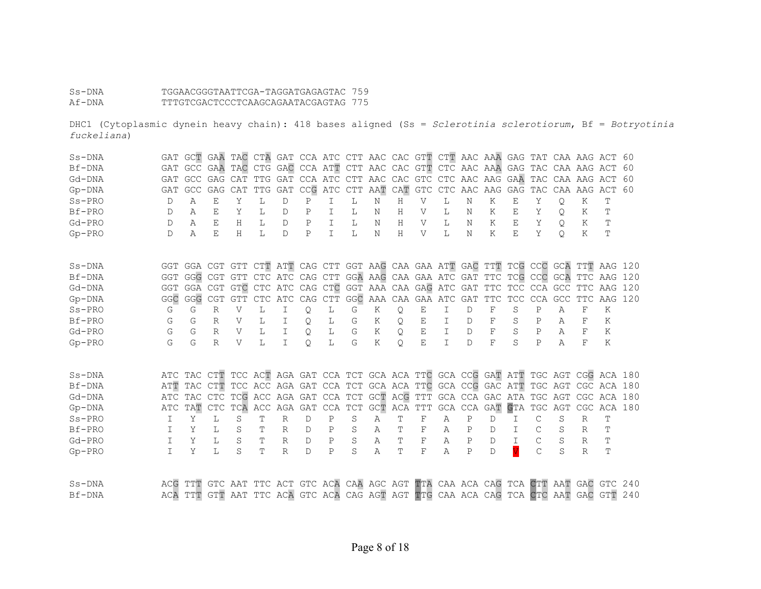## Ss-DNA TGGAACGGGTAATTCGA-TAGGATGAGAGTAC 759<br>Af-DNA TTTGTCGACTCCCTCAAGCAGAATACGAGTAG 775 Af-DNA TTTGTCGACTCCCTCAAGCAGAATACGAGTAG 775

DHC1 (Cytoplasmic dynein heavy chain): 418 bases aligned (Ss = *Sclerotinia sclerotiorum*, Bf = *Botryotinia fuckeliana*)

| $Ss-DNA$ | GAT    | GCT             | GAA TAC      |              |                     |              | CTA GAT CCA ATC CTT AAC CAC GTT CTT AAC AAA GAG TAT CAA AAG ACT 60                  |                                     |    |     |     |     |                             |              |              |            |              |     |              |                    |     |
|----------|--------|-----------------|--------------|--------------|---------------------|--------------|-------------------------------------------------------------------------------------|-------------------------------------|----|-----|-----|-----|-----------------------------|--------------|--------------|------------|--------------|-----|--------------|--------------------|-----|
| Bf-DNA   |        | GAT GCC GAA TAC |              |              |                     |              | CTG GAC CCA ATT CTT AAC CAC GTT CTC AAC AAA GAG TAC CAA AAG ACT 60                  |                                     |    |     |     |     |                             |              |              |            |              |     |              |                    |     |
| Gd-DNA   | GAT    | GCC GAG CAT     |              |              |                     |              | TTG GAT CCA ATC CTT AAC CAC GTC CTC AAC AAG GAA                                     |                                     |    |     |     |     |                             |              |              |            |              |     |              | TAC CAA AAG ACT 60 |     |
| $Gp-DNA$ | GAT    | <b>GCC</b>      | GAG          | CAT          | TTG                 | GAT          |                                                                                     | CCG ATC CTT                         |    | AAT | CAT | GTC | $\mathop{\rm CTC}\nolimits$ | AAC AAG      |              | GAG        | TAC          |     | CAA AAG      | ACT                | 60  |
| $Ss-PRO$ | D      | Α               | E            | Y            | L                   | D            | $\mathbf P$                                                                         | I                                   | L  | Ν   | Н   | V   | L                           | N            | K            | E          | Y            | Q   | Κ            | Т                  |     |
| Bf-PRO   | D      | Α               | E.           | Y            | т.                  | D            | $\mathbf{P}$                                                                        | T                                   | Т. | Ν   | H   | V   | Т.                          | N            | Κ            | Ε          | Y            | Q.  | K            | Ͳ                  |     |
| Gd-PRO   | D      | А               | F.           | Н            | T.                  | D.           | P                                                                                   | T                                   | T. | N   | Н   | V   | T.                          | Ν            | K            | E.         | Y            | O   | K            | T                  |     |
| $Gp-PRO$ | D      | Α               | F.           | Η            | T.                  | D            | $\mathbf{P}$                                                                        | T.                                  | L  | Ν   | H   | V   | Т.                          | N            | K            | E          | Y            | О   | Κ            | Т                  |     |
| $Ss-DNA$ |        |                 |              |              |                     |              | GGT GGA CGT GTT CTT ATT CAG CTT GGT AAG CAA GAA ATT GAC TTT TCG CCC GCA TTT AAG 120 |                                     |    |     |     |     |                             |              |              |            |              |     |              |                    |     |
| Bf-DNA   |        |                 |              |              |                     |              | GGT GGG CGT GTT CTC ATC CAG CTT GGA AAG CAA GAA ATC GAT TTC TCG CCC GCA TTC AAG     |                                     |    |     |     |     |                             |              |              |            |              |     |              |                    | 120 |
| Gd-DNA   |        |                 |              |              |                     |              | GGT GGA CGT GTC CTC ATC CAG CTC GGT AAA CAA GAG ATC GAT TTC TCC CCA GCC TTC         |                                     |    |     |     |     |                             |              |              |            |              |     |              | AAG                | 120 |
| $Gp-DNA$ | GGC    |                 |              |              | GGG CGT GTT CTC ATC |              |                                                                                     | CAG CTT GGC AAA CAA GAA ATC GAT TTC |    |     |     |     |                             |              |              | <b>TCC</b> | <b>CCA</b>   | GCC | <b>TTC</b>   | AAG                | 120 |
| $Ss-PRO$ | G      | G               | $\mathbb{R}$ | $\mathbf{V}$ | L                   | I            | Q                                                                                   | L                                   | G  | K   | Q   | E   | $\mathbb{I}$                | $\mathbb{D}$ | $_{\rm F}$   | S          | $\mathsf{P}$ | Α   | F            | K                  |     |
| Bf-PRO   | G      | G               | R            | V            | L                   | I            | Q                                                                                   | L                                   | G  | K   | Q.  | E   | I                           | D            | F            | S          | P            | Α   | F            | Κ                  |     |
| Gd-PRO   | G      | G               | $\mathbb{R}$ | V            | T.                  | $\mathbb{I}$ | $\circ$                                                                             | L                                   | G  | Κ   | O   | E   | T                           | <sup>D</sup> | F            | S          | P            | Α   | F            | Κ                  |     |
| $Gp-PRO$ | G      | G               | $\mathbb{R}$ | V            | T.                  | T            | $\circ$                                                                             | L                                   | G  | K   | O   | E   | T.                          | <sup>D</sup> | F            | S          | $\mathsf{P}$ | Α   | F            | K                  |     |
| $Ss-DNA$ |        |                 |              |              |                     |              | ATC TAC CTT TCC ACT AGA GAT CCA TCT GCA ACA TTC GCA CCG GAT ATT TGC AGT CGG ACA 180 |                                     |    |     |     |     |                             |              |              |            |              |     |              |                    |     |
| Bf-DNA   | ATT    |                 |              |              |                     |              | TAC CTT TCC ACC AGA GAT CCA TCT GCA ACA TTC GCA CCG GAC ATT TGC AGT CGC ACA 180     |                                     |    |     |     |     |                             |              |              |            |              |     |              |                    |     |
| Gd-DNA   |        |                 |              |              |                     |              | ATC TAC CTC TCG ACC AGA GAT CCA TCT GCT ACG TTT GCA CCA GAC ATA TGC AGT CGC ACA 180 |                                     |    |     |     |     |                             |              |              |            |              |     |              |                    |     |
| $Gp-DNA$ | ATC    | TAT             | CTC          |              |                     |              | TCA ACC AGA GAT CCA TCT GCT ACA TTT GCA CCA GAT GTA TGC AGT CGC ACA 180             |                                     |    |     |     |     |                             |              |              |            |              |     |              |                    |     |
| $Ss-PRO$ | I      | Y               | L            | S            | T                   | R            | $\mathbb{D}$                                                                        | $\mathsf{P}$                        | S  | A   | T   | F   | Α                           | P            | D            | T.         | C            | S   | R            | T                  |     |
| Bf-PRO   |        | Y               | L            | S            | т                   | R            | D                                                                                   | P                                   | S  | Α   | Т   | F   | A                           | P            | D            | T          | С            | S   | R            | Т                  |     |
| $Gd-PRO$ | $\top$ | Y               | T.           | S            | T                   | R            | $\mathsf{D}$                                                                        | $\mathsf{P}$                        | S  | Α   | T   | F   | A                           | P            | <sup>D</sup> | T.         | C            | S   | $\mathbb{R}$ | T                  |     |
| $Gp-PRO$ | T      | Y               | L            | S            | T                   | R            | D                                                                                   | $\mathsf{P}$                        | S  | Α   | T   | F   | Α                           | P            | <sup>D</sup> |            | C            | S   | R            | T                  |     |
| $Ss-DNA$ |        |                 |              |              |                     |              | ACG TTT GTC AAT TTC ACT GTC ACA CAA AGC AGT TTA CAA ACA CAG TCA CTT AAT GAC GTC 240 |                                     |    |     |     |     |                             |              |              |            |              |     |              |                    |     |
| Bf-DNA   |        | ACA TTT         |              |              |                     |              | GTT AAT TTC ACA GTC ACA CAG AGT AGT TTG CAA ACA CAG TCA CTC AAT GAC GTT 240         |                                     |    |     |     |     |                             |              |              |            |              |     |              |                    |     |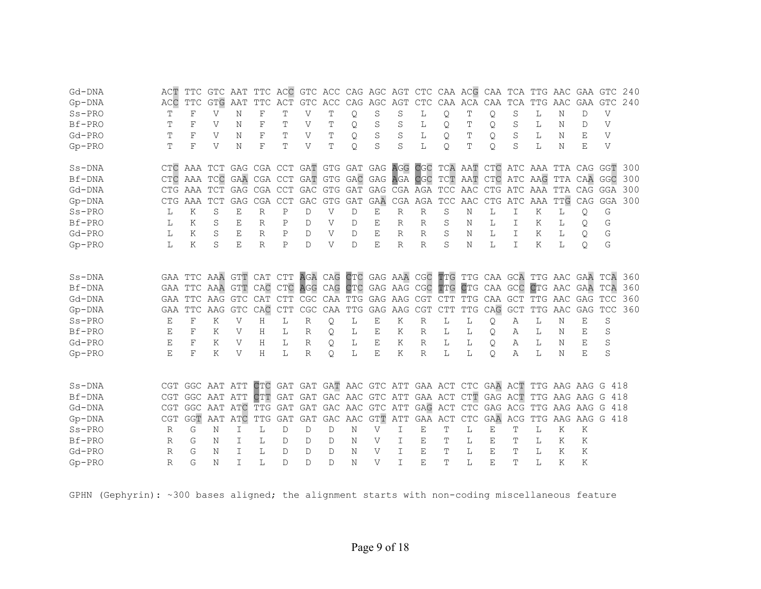| Gd-DNA   | ACT          | TTC        | GTC                                                                             | AAT        |            |             |               | TTC ACC GTC ACC CAG AGC AGT CTC CAA ACG CAA TCA             |              |                      |                         |              |                 |                                 |         |                                 | TTG AAC           |                   | GAA GTC      |              | 240 |
|----------|--------------|------------|---------------------------------------------------------------------------------|------------|------------|-------------|---------------|-------------------------------------------------------------|--------------|----------------------|-------------------------|--------------|-----------------|---------------------------------|---------|---------------------------------|-------------------|-------------------|--------------|--------------|-----|
| $Gp-DNA$ | ACC          | <b>TTC</b> | <b>GTG</b>                                                                      | AAT        | <b>TTC</b> | ACT         | GTC           | ACC CAG AGC AGT CTC CAA ACA CAA                             |              |                      |                         |              |                 |                                 |         | TCA                             | TTG               | AAC               | GAA          | <b>GTC</b>   | 240 |
| $Ss-PRO$ | Т            | $\rm F$    | V                                                                               | Ν          | F          | T           | V             | Т                                                           | Q            | S                    | S                       | L            | Q.              | Т                               | Q       | S                               | L                 | N                 | $\mathbb{D}$ | V            |     |
| Bf-PRO   | Т            | F          | V                                                                               | Ν          | F          | T           | V             | Т                                                           | Q            | S                    | S                       | L            | Q               | Т                               | Q.      | S                               | L                 | N                 | D            | $\mathbf{V}$ |     |
| $Gd-PRO$ | Ͳ            | F          | V                                                                               | Ν          | F          | Т           | V             | Т                                                           | O            | S                    | S                       | L            | O               | Т                               | O       | S                               | L                 | Ν                 | Е            | V            |     |
| $Gp-PRO$ | Τ            | F          | V                                                                               | Ν          | F          | Т           | V             | Т                                                           | $\circ$      | S                    | S                       | L            | Q.              | т                               | $\circ$ | S                               | L                 | Ν                 | Е            | V            |     |
| $Ss-DNA$ |              |            | CTC AAA TCT GAG CGA CCT GAT GTG GAT GAG AGG CGC TCA AAT CTC ATC AAA TTA CAG GGT |            |            |             |               |                                                             |              |                      |                         |              |                 |                                 |         |                                 |                   |                   |              |              | 300 |
| Bf-DNA   | CTC          |            | AAA TCC GAA CGA CCT GAT GTG GAC GAG AGA CGC                                     |            |            |             |               |                                                             |              |                      |                         |              |                 | TCT AAT CTC ATC AAG TTA CAA GGC |         |                                 |                   |                   |              |              | 300 |
| Gd-DNA   | <b>CTG</b>   | AAA TCT    |                                                                                 | GAG        | CGA CCT    |             |               | GAC GTG GAT GAG CGA AGA TCC AAC CTG ATC AAA TTA CAG GGA 300 |              |                      |                         |              |                 |                                 |         |                                 |                   |                   |              |              |     |
| $Gp-DNA$ | <b>CTG</b>   | AAA        | <b>TCT</b>                                                                      | GAG        | CGA CCT    |             | GAC           |                                                             | GTG GAT      | <b>GAA</b>           |                         |              | CGA AGA TCC AAC |                                 |         | CTG ATC AAA                     |                   | TTG               | CAG          | GGA          | 300 |
| $Ss-PRO$ | L            | Κ          | S                                                                               | Ε          | R          | Ρ           | D             | V                                                           | D            | Ε                    | R                       | R            | S               | Ν                               | L       | I                               | Κ                 | L                 | Q            | G            |     |
| Bf-PRO   | L            | Κ          | S                                                                               | E          | R          | $\mathbf P$ | D             | V                                                           | D            | E                    | R                       | R            | S               | Ν                               | L       | T                               | Κ                 | L                 | Q.           | G            |     |
| $Gd-PRO$ | L            | K          | S                                                                               | Е          | R          | P           | $\mathcal{D}$ | V                                                           | D            | Е                    | R                       | R            | S               | Ν                               | Т.      | T                               | K                 | L                 | Q.           | G            |     |
| $Gp-PRO$ | L            | K          | S                                                                               | E          | R          | $\mathbf P$ | $\mathsf{D}$  | V                                                           | $\mathbb{D}$ | $\mathbf{E}% _{0}$   | $\mathbb{R}$            | $\mathbb{R}$ | S               | N                               | L       | T.                              | K                 | L                 | Q.           | G            |     |
| $Ss-DNA$ |              |            | GAA TTC AAA GTT                                                                 |            | CAT CTT    |             |               | AGA CAG CTC GAG AAA CGC TTG TTG CAA GCA TTG AAC GAA TCA     |              |                      |                         |              |                 |                                 |         |                                 |                   |                   |              |              | 360 |
| Bf-DNA   |              |            | GAA TTC AAA GTT                                                                 |            |            |             |               | CAC CTC AGG CAG CTC GAG AAG CGC TTG                         |              |                      |                         |              |                 | CTG CAA GCC CTG AAC GAA TCA     |         |                                 |                   |                   |              |              | 360 |
| Gd-DNA   |              |            | GAA TTC AAG GTC CAT                                                             |            |            | <b>CTT</b>  |               | CGC CAA TTG GAG AAG CGT CTT                                 |              |                      |                         |              |                 |                                 |         | TTG CAA GCT TTG AAC GAG TCC 360 |                   |                   |              |              |     |
| $Gp-DNA$ | GAA          | TTC        | AAG                                                                             | <b>GTC</b> | CAC        | ${\tt CTT}$ | CGC           |                                                             | CAA TTG      |                      | GAG AAG CGT             |              | <b>CTT</b>      | TTG                             | CAG     | <b>GCT</b>                      | TTG               | AAC               | GAG          | <b>TCC</b>   | 360 |
| $Ss-PRO$ | E            | $\rm F$    | Κ                                                                               | V          | H          | L           | $\mathbb{R}$  | Q                                                           | L            | Ε                    | K                       | $\mathbb{R}$ | L               | L                               | Q       | Α                               | L                 | N                 | E            | $\rm S$      |     |
| Bf-PRO   | E            | F          | Κ                                                                               | V          | Η          | L           | $\mathbb{R}$  | Q                                                           | L            | Ε                    | Κ                       | R            | L               | L                               | Q.      | Α                               | L                 | Ν                 | E            | S            |     |
| $Gd-PRO$ | E            | $_{\rm F}$ | K                                                                               | V          | Н          | L           | $\mathbb{R}$  | Q                                                           | L            | E                    | K                       | R            | L               | L                               | Q.      | A                               | L                 | Ν                 | E            | S            |     |
| $Gp-PRO$ | E            | F          | K                                                                               | V          | H          | L           | R             | Q.                                                          | L            | E                    | Κ                       | $\mathbb{R}$ | L               | L                               | O       | Α                               | L                 | Ν                 | E            | S            |     |
| $Ss-DNA$ |              |            | CGT GGC AAT ATT                                                                 |            |            |             |               | CTC GAT GAT GAT AAC GTC ATT GAA ACT CTC GAA ACT             |              |                      |                         |              |                 |                                 |         |                                 | TTG AAG AAG G 418 |                   |              |              |     |
| Bf-DNA   |              |            | CGT GGC AAT ATT                                                                 |            | CTT        | GAT         |               | GAT GAC AAC GTC ATT GAA ACT CTT GAG ACT                     |              |                      |                         |              |                 |                                 |         |                                 |                   | TTG AAG AAG G     |              | 418          |     |
|          |              |            | GGC AAT ATC                                                                     |            |            |             |               |                                                             |              |                      | GAC AAC GTC ATT GAG ACT |              |                 |                                 |         |                                 |                   | TTG AAG AAG       |              | 418          |     |
| Gd-DNA   | <b>CGT</b>   |            |                                                                                 |            | TTG GAT    |             | GAT           |                                                             |              |                      |                         |              |                 | CTC GAG ACG                     |         |                                 |                   |                   |              | G            |     |
| $Gp-DNA$ | <b>CGT</b>   | GGT        | AAT ATC                                                                         |            | TTG        | GAT         | GAT           | D                                                           |              | GAC AAC GTT ATT<br>V |                         | GAA ACT      |                 | $\ensuremath{\mathsf{CTC}}$     | GAA ACG |                                 |                   | TTG AAG AAG G 418 | K            |              |     |
| $Ss-PRO$ | R            | G          | N                                                                               | I          | L          | D           | $\mathbb D$   |                                                             | N            |                      | I                       | E            | T               | L                               | Ε       | T                               | L                 | K                 |              |              |     |
| Bf-PRO   | $\mathbb{R}$ | G          | N                                                                               | I          | L          | D           | D             | D                                                           | Ν            | V                    | T                       | Ε            | Т               | L                               | Е       | Т                               | L                 | K                 | Κ            |              |     |
| $Gd-PRO$ | $\mathbb{R}$ | G          | N                                                                               | T.         | T.         | D           | $\mathbb{D}$  | D                                                           | N            | V                    | $\top$                  | E            | Τ               | L                               | E       | Ͳ                               | L                 | Κ                 | Κ            |              |     |
| $Gp-PRO$ | $\mathbb{R}$ | G          | N                                                                               | T.         | L          | D           | $\mathsf{D}$  | D                                                           | N            | $\mathbf{V}$         | $\top$                  | E            | T               | L                               | E       | T                               | T.                | Κ                 | Κ            |              |     |

GPHN (Gephyrin): ~300 bases aligned; the alignment starts with non-coding miscellaneous feature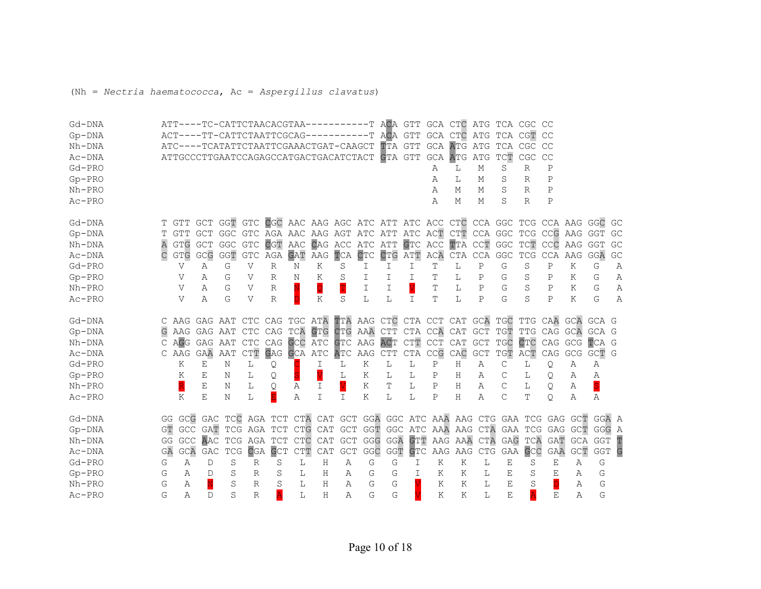(Nh = *Nectria haematococca*, Ac = *Aspergillus clavatus*)

| Gd-DNA       |    |                         |     | ATT----TC-CATTCTAACACGTAA-----------T ACA GTT                                 |                |              |              |             |         |     |         |                       | GCA CTC |                                                   |              | ATG TCA CGC  |              | CC          |            |            |    |
|--------------|----|-------------------------|-----|-------------------------------------------------------------------------------|----------------|--------------|--------------|-------------|---------|-----|---------|-----------------------|---------|---------------------------------------------------|--------------|--------------|--------------|-------------|------------|------------|----|
| $Gp-DNA$     |    |                         |     | ACT----TT-CATTCTAATTCGCAG-----------T                                         |                |              |              |             |         |     | ACA GTT |                       |         | GCA CTC ATG                                       |              |              | TCA CGT CC   |             |            |            |    |
| $Nh-DNA$     |    |                         |     | ATC----TCATATTCTAATTCGAAACTGAT-CAAGCT                                         |                |              |              |             |         |     | TTA GTT |                       |         | <b>GCA ATG ATG</b>                                |              | TCA CGC      |              | CC          |            |            |    |
| Ac-DNA       |    |                         |     | ATTGCCCTTGAATCCAGAGCCATGACTGACATCTACT GTA GTT GCA ATG ATG                     |                |              |              |             |         |     |         |                       |         |                                                   |              | TCT          | CGC          | CC          |            |            |    |
| Gd-PRO       |    |                         |     |                                                                               |                |              |              |             |         |     |         |                       | Α       | L                                                 | М            | S            | R            | $\mathbf P$ |            |            |    |
| $Gp-PRO$     |    |                         |     |                                                                               |                |              |              |             |         |     |         |                       | Α       | L                                                 | М            | S            | $\mathbb{R}$ | $\mathbf P$ |            |            |    |
| $Nh-PRO$     |    |                         |     |                                                                               |                |              |              |             |         |     |         |                       | Α       | М                                                 | М            | S            | R            | $\mathbf P$ |            |            |    |
| $Ac-PRO$     |    |                         |     |                                                                               |                |              |              |             |         |     |         |                       | А       | Μ                                                 | М            | S            | R            | $\mathbf P$ |            |            |    |
| Gd-DNA       |    |                         |     | T GTT GCT GGT GTC CGC AAC AAG AGC ATC ATT ATC ACC CTC CCA GGC TCG CCA AAG GGC |                |              |              |             |         |     |         |                       |         |                                                   |              |              |              |             |            |            | GC |
| $Gp-DNA$     |    | GTT                     |     | GCT GGC GTC AGA AAC AAG AGT ATC ATT ATC ACT CTT CCA GGC TCG CCG AAG GGT       |                |              |              |             |         |     |         |                       |         |                                                   |              |              |              |             |            |            | GC |
| Nh-DNA       |    | <b>GTG</b>              | GCT | GGC GTC CGT AAC CAG ACC ATC ATT                                               |                |              |              |             |         |     |         |                       |         | GTC ACC TTA CCT GGC TCT CCC AAG GGT               |              |              |              |             |            |            | GC |
| Ac-DNA       |    | <b>GTG</b>              | GCG | GGT                                                                           |                | GTC AGA GAT  |              | AAG         | TCA     | CTC | CTG ATT |                       |         | ACA CTA CCA GGC                                   |              |              | TCG          | CCA AAG     |            | GGA        | GC |
| Gd-PRO       |    | V                       | Α   | G                                                                             | V              | R            | Ν            | K           | S       | I   | I       | I                     | Т       | L                                                 | Ρ            | G            | S            | Ρ           | K          | G          | Α  |
| $Gp-PRO$     |    | V                       | Α   | G                                                                             | V              | $\mathbb{R}$ | Ν            | K           | S       | I   | I       | I                     | Т       | L                                                 | Ρ            | G            | S            | P           | Κ          | G          | Α  |
| $Nh-PRO$     |    | V                       | Α   | G                                                                             | $\overline{V}$ | $\mathbb R$  | Ń            | Q           | T       | I   | I       | $\overline{\text{V}}$ | T       | L                                                 | $\mathbf{P}$ | G            | S            | $\mathbb P$ | Κ          | G          | Α  |
| $Ac-PRO$     |    | $\mathbf{V}$            | Α   | G                                                                             | V              | $\mathbb{R}$ | $\mathbf{D}$ | Κ           | S       | L   | L       | I                     | Т       | L                                                 | $\mathbf{P}$ | G            | S            | $\mathbf P$ | Κ          | G          | Α  |
| Gd-DNA       |    |                         |     | C AAG GAG AAT CTC CAG TGC ATA                                                 |                |              |              |             |         |     |         |                       |         | TTA AAG CTC CTA CCT CAT GCA TGC TTG CAA           |              |              |              |             | GCA GCA G  |            |    |
| $Gp-DNA$     |    |                         |     | AAG GAG AAT CTC CAG TCA GTG                                                   |                |              |              |             |         |     |         |                       |         | CTG AAA CTT CTA CCA CAT GCT TGT TTG CAG GCA GCA G |              |              |              |             |            |            |    |
| $Nh$ - $DNA$ |    |                         |     | C AGG GAG AAT CTC CAG GCC ATC                                                 |                |              |              |             | GTC AAG |     | ACT     |                       |         | CTT CCT CAT GCT TGC                               |              |              | CTC          | CAG         | GCG        | TCA G      |    |
| Ac-DNA       |    | C AAG GAA               |     | AAT                                                                           | CTT            | GAG GCA ATC  |              |             | ATC AAG |     | CTT     |                       |         | CTA CCG CAC GCT                                   |              | TGT ACT      |              | CAG         | GCG        | GCT G      |    |
| Gd-PRO       |    | K                       | Ε   | N                                                                             | L              | Q            |              | I           | L       | K   | L       | L                     | Ρ       | Η                                                 | Α            | C            | L            | Q           | Α          | Α          |    |
| $Gp-PRO$     |    | K                       | Ε   | Ν                                                                             | L              | Q            | S            |             | L       | Κ   | L       | L                     | Ρ       | Η                                                 | Α            | $\mathsf{C}$ | L            | Q           | Α          | Α          |    |
| $Nh-PRO$     |    | $\overline{\mathsf{R}}$ | E   | Ν                                                                             | L              | Q            | Α            | I           |         | Κ   | Т       | L                     | Ρ       | Н                                                 | Α            | $\mathsf{C}$ | L            | Q           | Α          | S          |    |
| Ac-PRO       |    | K                       | E   | Ν                                                                             | L              | E            | Α            | $\mathbf I$ | I       | Κ   | L       | L                     | Ρ       | Η                                                 | Α            | $\mathsf{C}$ | Т            | Q.          | Α          | Α          |    |
| Gd-DNA       |    |                         |     | GG GCG GAC TCC AGA TCT CTA CAT GCT GGA GGC ATC AAA AAG CTG GAA TCG GAG GCT    |                |              |              |             |         |     |         |                       |         |                                                   |              |              |              |             |            | GGA A      |    |
| $Gp-DNA$     | GT |                         |     | GCC GAT TCG AGA TCT CTG CAT GCT GGT GGC ATC AAA AAG CTA GAA TCG GAG GCT       |                |              |              |             |         |     |         |                       |         |                                                   |              |              |              |             |            | GGG A      |    |
| Nh-DNA       | GG |                         |     | GCC AAC TCG AGA TCT                                                           |                |              | CTC          | CAT         |         |     |         | GCT GGG GGA GTT       |         | AAG AAA CTA                                       |              |              | GAG TCA      |             | GAT GCA    | GGT        | T  |
| Ac-DNA       | GA | GCA                     | GAC | <b>TCG</b>                                                                    |                | CGA GCT      | CTT          | CAT         | GCT     | GGC | GGT     | GTC                   |         | AAG AAG                                           | CTG          |              | GAA GCC      | GAA         | <b>GCT</b> | <b>GGT</b> | G  |
| Gd-PRO       | G  | Α                       | D   | S                                                                             | R              | S            | L            | Η           | Α       | G   | G       | I                     | Κ       | Κ                                                 | L            | Ε            | S            | Ε           | Α          | G          |    |
| $Gp-PRO$     | G  | Α                       | D   | S                                                                             | R              | S            | L            | Η           | Α       | G   | G       | I                     | Κ       | Κ                                                 | L            | Ε            | S            | Ε           | Α          | G          |    |
| $Nh-PRO$     | G  | Α                       |     | S                                                                             | R              | S            | L            | Н           | Α       | G   | G       |                       | K       | K                                                 | L            | Е            | S            |             | Α          | G          |    |
| Ac-PRO       |    |                         |     |                                                                               |                |              |              |             |         |     |         |                       |         |                                                   |              |              | Ā            |             |            |            |    |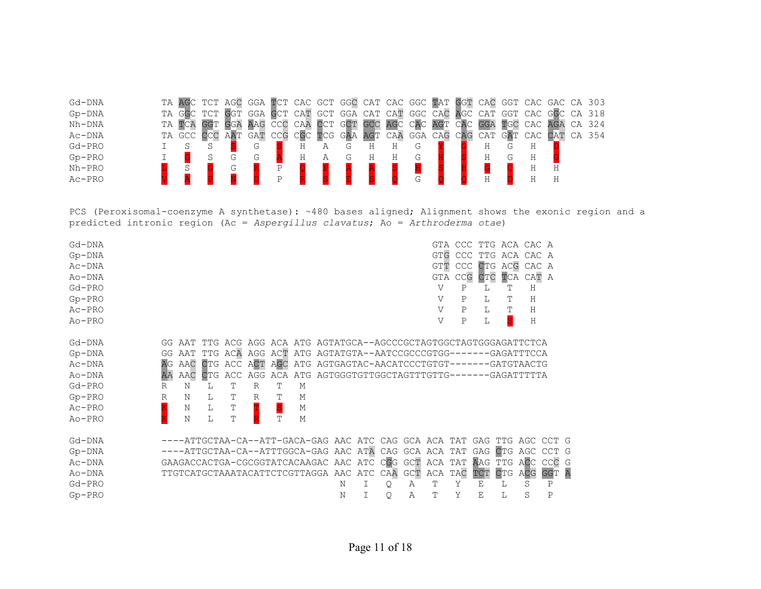| TA AGC TCT AGC GGA TCT CAC GCT GGC CAT CAC GGC TAT GGT CAC GGT CAC GAC CA 303 |
|-------------------------------------------------------------------------------|
|                                                                               |
| GGA CAT CAT GGC CAC AGC CAT GGT CAC GGC CA 318                                |
| CA 324                                                                        |
| CA 354                                                                        |
|                                                                               |
|                                                                               |
|                                                                               |
|                                                                               |
|                                                                               |

PCS (Peroxisomal-coenzyme A synthetase): ~480 bases aligned; Alignment shows the exonic region and a predicted intronic region (Ac = *Aspergillus clavatus*; Ao = *Arthroderma otae*)

| $Gd$ - $DNA$ |              |        |            |     |              |   |                                               |   |     |     | <b>GTA</b>                                                              | CCC        | TTG     | ACA CAC A  |            |            |                |
|--------------|--------------|--------|------------|-----|--------------|---|-----------------------------------------------|---|-----|-----|-------------------------------------------------------------------------|------------|---------|------------|------------|------------|----------------|
| $Gp-DNA$     |              |        |            |     |              |   |                                               |   |     |     | <b>GTG</b>                                                              | CCC        | TTG     | ACA        | CAC A      |            |                |
| $Ac-DNA$     |              |        |            |     |              |   |                                               |   |     |     | GTT                                                                     | <b>CCC</b> | CTG     | ACG        | CAC A      |            |                |
| $Ao-DNA$     |              |        |            |     |              |   |                                               |   |     |     | GTA                                                                     | CCG        | CTC     | TCA        | CAT A      |            |                |
| $Gd-PRO$     |              |        |            |     |              |   |                                               |   |     |     | V                                                                       | Ρ          | L       | т          | Η          |            |                |
| $Gp-PRO$     |              |        |            |     |              |   |                                               |   |     |     | V                                                                       | P          | L       | т          | H          |            |                |
| $Ac-PRO$     |              |        |            |     |              |   |                                               |   |     |     | V                                                                       | Ρ          | L       |            | Η          |            |                |
| $Ao-PRO$     |              |        |            |     |              |   |                                               |   |     |     | V                                                                       | Ρ          | L       |            | H          |            |                |
|              |              |        |            |     |              |   |                                               |   |     |     |                                                                         |            |         |            |            |            |                |
| Gd-DNA       |              | GG AAT |            |     |              |   |                                               |   |     |     | TTG ACG AGG ACA ATG AGTATGCA--AGCCCGCTAGTGGCTAGTGGGAGATTCTCA            |            |         |            |            |            |                |
| $Gp-DNA$     | GG           | AAT    | TTG ACA    |     |              |   |                                               |   |     |     | AGG ACT ATG AGTATGTA--AATCCGCCCGTGG-------GAGATTTCCA                    |            |         |            |            |            |                |
| $Ac-DNA$     | AG           | AAC    | <b>CTG</b> | ACC | ACT AGC      |   |                                               |   |     |     | ATG AGTGAGTAC-AACATCCCTGTGT-------GATGTAACTG                            |            |         |            |            |            |                |
| Ao-DNA       | AA           | AAC    | CTG        | ACC |              |   |                                               |   |     |     | AGG ACA ATG AGTGGGTGTTGGCTAGTTTGTTG-------GAGATTTTTA                    |            |         |            |            |            |                |
| Gd-PRO       | R            | N      | L          | T   | $\mathbb{R}$ | Т | М                                             |   |     |     |                                                                         |            |         |            |            |            |                |
| $Gp-PRO$     | $\mathbb{R}$ | N      | L          | Т   | R            |   | М                                             |   |     |     |                                                                         |            |         |            |            |            |                |
| $Ac-PRO$     |              | N      | L          | Т   |              | S | М                                             |   |     |     |                                                                         |            |         |            |            |            |                |
| $Ao-PRO$     |              | N      | L          | T   |              | Ͳ | М                                             |   |     |     |                                                                         |            |         |            |            |            |                |
|              |              |        |            |     |              |   |                                               |   |     |     |                                                                         |            |         |            |            |            |                |
| Gd-DNA       |              |        |            |     |              |   |                                               |   |     |     | ----ATTGCTAA-CA--ATT-GACA-GAG AAC ATC CAG GCA ACA TAT GAG TTG AGC CCT G |            |         |            |            |            |                |
| $Gp-DNA$     |              |        |            |     |              |   |                                               |   |     |     | ----ATTGCTAA-CA--ATTTGGCA-GAG AAC ATA CAG GCA ACA TAT                   |            | GAG CTG |            | AGC        | <b>CCT</b> |                |
| Ac-DNA       |              |        |            |     |              |   | GAAGACCACTGA-CGCGGTATCACAAGAC AAC ATC CGG GCT |   |     |     | ACA TAT AAG TTG ACC CCC G                                               |            |         |            |            |            |                |
| $Ao-DNA$     |              |        |            |     |              |   | TTGTCATGCTAAATACATTCTCGTTAGGA AAC ATC         |   | CAA | GCT | ACA                                                                     | TAC        | TCT     | <b>CTG</b> | <b>ACG</b> | <b>GGT</b> | $\overline{A}$ |
| Gd-PRO       |              |        |            |     |              |   |                                               | Ν | Q   | Α   | Т                                                                       | Υ          | Ε       | L          | S          | Ρ          |                |
| $Gp-PRO$     |              |        |            |     |              |   |                                               | N | Q.  | A   | T                                                                       | Y          | F.      | L          | S          | P          |                |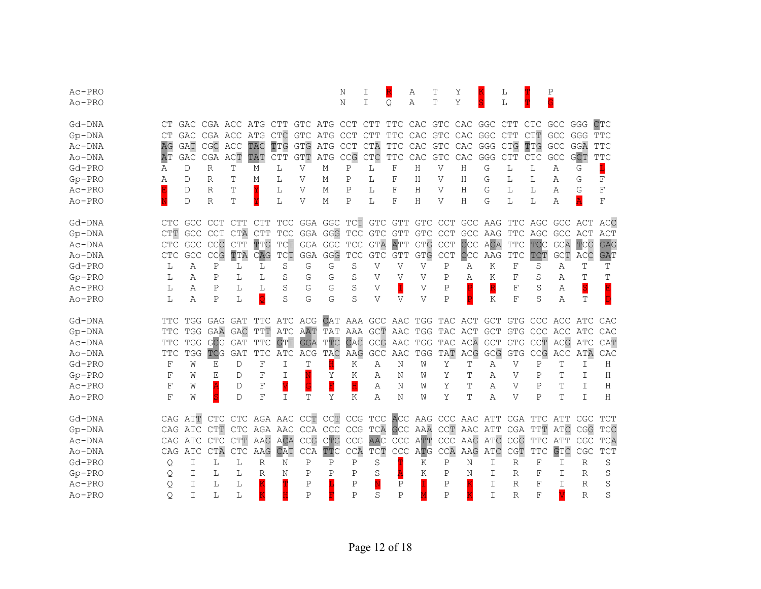| $Ac$ -PRO  |               |            |              |                             |                         |                                  |              |                                    | Ν                                | I                                |                         | Α            | Т                                                   | Υ                       |            | L            |                   | P                     |              |            |
|------------|---------------|------------|--------------|-----------------------------|-------------------------|----------------------------------|--------------|------------------------------------|----------------------------------|----------------------------------|-------------------------|--------------|-----------------------------------------------------|-------------------------|------------|--------------|-------------------|-----------------------|--------------|------------|
| Ao-PRO     |               |            |              |                             |                         |                                  |              |                                    | N                                | T                                | Q.                      | Α            | Ͳ                                                   | Y                       |            | L            |                   | Ġ                     |              |            |
| Gd-DNA     | CТ            | GAC        | CGA ACC      |                             | ATG CTT                 |                                  | GTC ATG      |                                    | CCT                              | CTT                              | TTC CAC                 |              | GTC CAC GGC                                         |                         |            | CTT          | <b>CTC</b>        | GCC                   | GGG          | CTC        |
| $Gp-DNA$   | $C\mathbb{T}$ | GAC        | CGA ACC      |                             | ATG CTC                 |                                  | GTC ATG      |                                    | <b>CCT</b>                       | <b>CTT</b>                       | TTC                     | CAC          | GTC CAC GGC CTT                                     |                         |            |              | <b>CTT</b>        | GCC GGG               |              | <b>TTC</b> |
| $Ac$ -DNA  | AG            | <b>GAT</b> | CGC ACC      |                             | TAC                     | TTG                              | <b>GTG</b>   | ATG                                | <b>CCT</b>                       | CTA                              | $_{\rm TTC}$            | CAC          | ${\tt GTC}$                                         | CAC                     | GGG CTG    |              | TTG               | $\mathsf{GCC}$        | GGA          | <b>TTC</b> |
| Ao-DNA     | AΤ            | GAC        | CGA ACT      |                             | TAT                     | <b>CTT</b>                       | <b>GTT</b>   | ATG                                | CCG                              | CTC                              | $_{\rm TTC}$            | CAC          | ${\tt GTC}$                                         | CAC                     | GGG CTT    |              | CTC               | GCC                   | <b>GCT</b>   | <b>TTC</b> |
| $Gd-PRO$   | Α             | D          | $\mathbb{R}$ | T                           | М                       | L                                | $\mathbf{V}$ | М                                  | $\, {\bf P}$                     | L                                | $\mathbf F$             | H            | $\mathbf{V}$                                        | H                       | G          | L            | L                 | Α                     | G            | L          |
| $Gp-PRO$   | Α             | D          | R            | T                           | М                       | L                                | V            | М                                  | P                                | L                                | F                       | Н            | V                                                   | Η                       | G          | L            | L                 | Α                     | G            | F          |
| Ac-PRO     |               | D          | R            | Τ                           |                         | L                                | V            | M                                  | P                                | L                                | F                       | Η            | V                                                   | Η                       | G          | L            | L                 | Α                     | G            | $\rm F$    |
| Ao-PRO     |               | D          | $\mathbb{R}$ | T                           |                         | L                                | V            | М                                  | $\mathbb P$                      | L                                | F                       | H            | V                                                   | Н                       | G          | L            | L                 | Α                     |              | F          |
| Gd-DNA     | CTC.          |            | GCC CCT      | <b>CTT</b>                  | <b>CTT</b>              |                                  |              |                                    |                                  |                                  | TCC GGA GGC TCT GTC GTT |              | GTC CCT                                             |                         | GCC AAG    |              | TTC AGC           |                       | GCC ACT      | ACC        |
| $Gp-DNA$   | CTT           | <b>GCC</b> | CCT          | CTA                         | <b>CTT</b>              | <b>TCC</b>                       |              |                                    | GGA GGG TCC                      | <b>GTC</b>                       | <b>GTT</b>              | <b>GTC</b>   | <b>CCT</b>                                          |                         | GCC AAG    | TTC          | AGC               |                       | GCC ACT      | ACT        |
| Ac-DNA     | CTC           |            | GCC CCC      | <b>CTT</b>                  | TTG                     | $\mathbb{T}\mathbb{C}\mathbb{T}$ |              | GGA GGC                            | <b>TCC</b>                       | <b>GTA</b>                       | ATT                     | <b>GTG</b>   | <b>CCT</b>                                          | CCC                     | AGA        | <b>TTC</b>   | <b>TCC</b>        | GCA                   | TCG          | <b>GAG</b> |
| Ao-DNA     | <b>CTC</b>    | GCC        | CCG          | TTA                         | CAG                     | TCT                              | GGA          | GGG                                | <b>TCC</b>                       | <b>GTC</b>                       | <b>GTT</b>              | <b>GTG</b>   | <b>CCT</b>                                          | CCC                     | AAG        | <b>TTC</b>   | TCT               | GCT                   | ACC          | <b>GAT</b> |
| $Gd-PRO$   | L             | Α          | $\mathbf P$  | L                           | L                       | S                                | G            | G                                  | S                                | V                                | V                       | $\mathbf{V}$ | Ρ                                                   | Α                       | Κ          | F            | S                 | Α                     | Т            | Т          |
| $Gp-PRO$   | L             | Α          | Ρ            | L                           | L                       | S                                | G            | G                                  | S                                | V                                | V                       | V            | P                                                   | Α                       | Κ          | F            | S                 | Α                     |              | Т          |
| Ac-PRO     | L             | Α          | $\mathbb P$  | L                           | L                       | S                                | G            | G                                  | S                                | V                                | İ                       | V            | $\mathbf P$                                         |                         | R          | F            | S                 | Α                     | S            |            |
| Ao-PRO     | L             | Α          | P            | L                           | $\overline{\mathsf{Q}}$ | S                                | G            | G                                  | S                                | V                                | V                       | V            | P                                                   | $\overline{\mathbf{P}}$ | Κ          | F            | S                 | Α                     | Т            |            |
| Gd-DNA     | TTC.          |            |              | TGG GAG GAT                 |                         | TTC ATC ACG                      |              |                                    |                                  |                                  |                         |              | CAT AAA GCC AAC TGG TAC ACT GCT                     |                         |            |              |                   | GTG CCC ACC ATC       |              | CAC        |
| $Gp-DNA$   | TTC           |            | TGG GAA      | GAC                         | TTT                     | ATC                              | AAT          |                                    |                                  |                                  |                         |              | TAT AAA GCT AAC TGG TAC ACT                         |                         | <b>GCT</b> |              |                   | GTG CCC ACC ATC       |              | CAC        |
| Ac-DNA     | TTC           | TGG        | GCG          | GAT                         | <b>TTC</b>              | GTT                              | <b>GGA</b>   | TTC                                | CAC                              | GCG                              | AAC                     |              | TGG TAC ACA                                         |                         | <b>GCT</b> | GTG          | CCT               |                       | ACG ATC      | CAT        |
| Ao-DNA     | TTC           | TGG        | TCG          | <b>GAT</b>                  | <b>TTC</b>              | ATC                              | ACG          | TAC                                | AAG                              | GCC                              | AAC                     | TGG          | TAT                                                 | ACG                     | GCG        | <b>GTG</b>   | CCG               | ACC                   | ATA          | CAC        |
| Gd-PRO     | $\mathbf F$   | W          | Ε            | D                           | $\mathbf F$             | I                                | Τ            | H                                  | Κ                                | Α                                | Ν                       | W            | Υ                                                   | Т                       | Α          | V            | P                 | T                     | I            | H          |
| $Gp - PRO$ | $\mathbf F$   | W          | E            | D                           | F                       | I                                |              | Υ                                  | K                                | Α                                | Ν                       | W            | Υ                                                   | Т                       | Α          | V            | $\mathbf P$       | T                     | I            | Η          |
| Ac-PRO     | F             | W          |              | D                           | $\mathbf F$             |                                  |              | $\overline{\overline{\mathrm{F}}}$ | $\overline{\mathbf{H}}$          | Α                                | Ν                       | W            | Y                                                   | Т                       | A          | V            | Ρ                 | Τ                     | I            | H          |
| Ao-PRO     | F             | W          | S            | D                           | F                       | I                                | T            | Υ                                  | Κ                                | Α                                | Ν                       | W            | Y                                                   | Т                       | Α          | V            | $\mathsf{P}$      | Т                     | T            | Н          |
| Gd-DNA     |               | CAG ATT    |              |                             |                         |                                  |              |                                    |                                  |                                  |                         |              | CTC CTC AGA AAC CCT CCT CCG TCC ACC AAG CCC AAC ATT |                         |            |              |                   | CGA TTC ATT           | CGC          | TCT        |
| $Gp-DNA$   |               | CAG ATC    | CTT          |                             |                         | CTC AGA AAC                      |              | CCA CCC                            | CCG                              | TCA                              |                         |              | GCC AAA CCT AAC ATT                                 |                         |            | CGA          | TTT               | ATC                   | CGG          | TCC        |
| Ac-DNA     |               | CAG ATC    | <b>CTC</b>   | $\mathsf{CTT}$              | AAG                     | ACA                              | CCG          | CTG                                | $\mathbb{C}\mathbb{C}\mathbb{G}$ | <b>AAC</b>                       |                         | CCC ATT      |                                                     | CCC AAG ATC             |            | CGG          | $_{\mathrm{TTC}}$ | ATT                   | CGC          | TCA        |
| Ao-DNA     | CAG           | ATC        | <b>CTA</b>   | $\ensuremath{\mathsf{CTC}}$ | AAG                     | CAT                              | CCA          | TTC                                | CCA                              | $\mathbb{T}\mathbb{C}\mathbb{T}$ |                         | CCC ATG      | CCA                                                 |                         | AAG ATC    | CGT          | <b>TTC</b>        | GTC                   | CGC          | <b>TCT</b> |
| $Gd-PRO$   | Q             | I          | L            | L                           | R                       | N                                | Ρ            | Ρ                                  | $\mathbf P$                      | S                                |                         | Κ            | $\mathbf P$                                         | Ν                       | I          | $\mathbb{R}$ | $_{\rm F}$        | I                     | $\mathbb{R}$ | S          |
| $Gp-PRO$   | Q             | T          | L            | L                           | R                       | N                                | Ρ            | Ρ                                  | Ρ                                | S                                |                         | K            | P                                                   | Ν                       | I          | R            | F                 | T                     | R            | S          |
| $Ac-PRO$   | Q             | Τ          | L            | L                           |                         |                                  | Ρ            |                                    | Ρ                                |                                  | Ρ                       |              | Ρ                                                   |                         | I          | R            | F                 | T                     | R            | S          |
| Ao-PRO     | 0             | T          | L            | L                           |                         |                                  | P            |                                    | P                                | S                                | P                       |              | $\mathsf{P}$                                        |                         | I          | $\mathbb{R}$ | F                 | $\overline{\text{V}}$ | $\mathbb{R}$ | S          |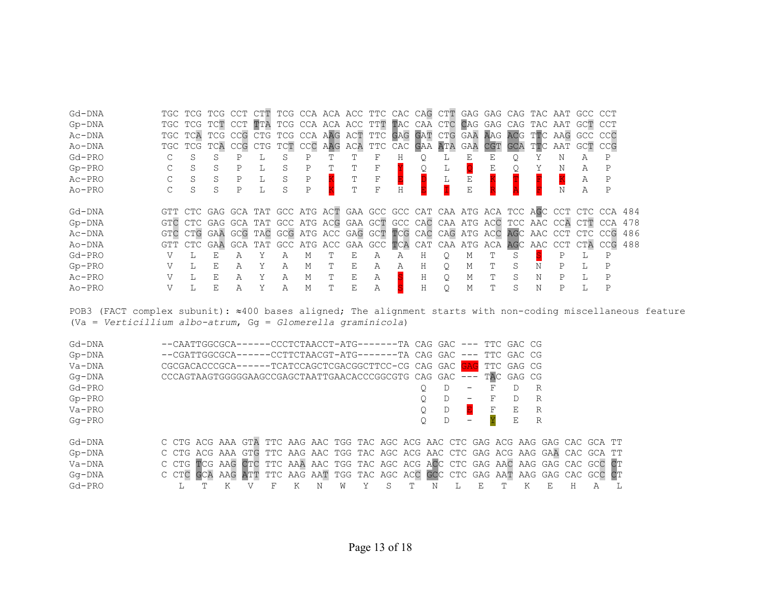| Gd-DNA<br>$Gp-DNA$<br>Ac-DNA<br>Ao-DNA<br>Gd-PRO<br>$Gp-PRO$<br>Ac-PRO<br>$Ao-PRO$ |     | S<br>S<br>S<br>S | TGC TCG TCG CCT CTT TCG CCA ACA ACC TTC CAC CAG CTT GAG GAG CAG TAC AAT GCC CCT<br>TGC TCG TCT CCT TTA TCG CCA ACA ACC TTT TAC CAA CTC CAG GAG CAG TAC AAT GCT CCT<br>TGC TCA TCG CCG CTG TCG CCA AAG ACT TTC GAG GAT CTG GAA AAG ACG TTC AAG GCC CCC<br>TGC TCG TCA CCG CTG TCT CCC AAG ACA TTC CAC GAA ATA GAA CGT<br>S<br>S<br>S<br>S | Ρ<br>Ρ<br>P | L | S<br>S<br>S<br>S | Ρ<br>Ρ<br>Ρ<br>$\mathsf{P}$ |   | Т<br>T<br>T | F<br>F<br>F<br>F | Η<br>H |             |          | Ε<br>Ε      | Ε           |             |             | Ν<br>Ν | GCA TTC AAT GCT CCG<br>Α<br>А<br>Α<br>Α | P<br>P                                                                                                                                                                                                                                                |            |
|------------------------------------------------------------------------------------|-----|------------------|------------------------------------------------------------------------------------------------------------------------------------------------------------------------------------------------------------------------------------------------------------------------------------------------------------------------------------------|-------------|---|------------------|-----------------------------|---|-------------|------------------|--------|-------------|----------|-------------|-------------|-------------|-------------|--------|-----------------------------------------|-------------------------------------------------------------------------------------------------------------------------------------------------------------------------------------------------------------------------------------------------------|------------|
| Gd-DNA<br>$Gp-DNA$<br>Ac-DNA<br>Ao-DNA<br>$Gd-PRO$                                 | GTC | CTC<br>L         | GTC CTG GAA GCG TAC GCG ATG ACC GAG GCT TCG CAC CAG ATG ACC AGC AAC CCT CTC CCG<br>E                                                                                                                                                                                                                                                     | А           |   | Α                | М                           |   | Ε           | Α                | Α      | Н           | Q.       | М           |             |             |             |        |                                         | GTT CTC GAG GCA TAT GCC ATG ACT GAA GCC GCC CAT CAA ATG ACA TCC AGC CCT CTC CCA 484<br>GAG GCA TAT GCC ATG ACG GAA GCT GCC CAC CAA ATG ACC TCC AAC CCA CTT CCA 478<br>GTT CTC GAA GCA TAT GCC ATG ACC GAA GCC TCA CAT CAA ATG ACA AGC AAC CCT CTA CCG | 486<br>488 |
| $Gp-PRO$<br>Ac-PRO<br>Ao-PRO                                                       |     | L<br>L           | E<br>E<br>F.                                                                                                                                                                                                                                                                                                                             | Α<br>А<br>Α | Y | Α<br>Α<br>Α      | М<br>М<br>M                 | т | Ε<br>Ε<br>Ε | Α<br>Α<br>Α      | Α      | Η<br>Η<br>H | Q.<br>Q. | М<br>М<br>М | Т<br>т<br>T | S<br>S<br>S | N<br>Ν<br>N | Ρ<br>P |                                         | Ρ<br>P                                                                                                                                                                                                                                                |            |

POB3 (FACT complex subunit): ≈400 bases aligned; The alignment starts with non-coding miscellaneous feature (Va = *Verticillium albo-atrum*, Gg = *Glomerella graminicola*)

| Gd-DNA    |  | --CAATTGGCGCA------CCCTCTAACCT-ATG-------TA CAG GAC --- TTC GAC CG               |  |   |  |  |  |   |                          |   |            |   |    |   |   |  |
|-----------|--|----------------------------------------------------------------------------------|--|---|--|--|--|---|--------------------------|---|------------|---|----|---|---|--|
| $Gp-DNA$  |  | --CGATTGGCGCA------CCTTCTAACGT-ATG-------TA CAG GAC --- TTC GAC CG               |  |   |  |  |  |   |                          |   |            |   |    |   |   |  |
| $Va-DNA$  |  | CGCGACACCCGCA------TCATCCAGCTCGACGGCTTCC-CG CAG GAC GAG                          |  |   |  |  |  |   |                          |   | TTC GAG CG |   |    |   |   |  |
| $Gq$ -DNA |  | CCCAGTAAGTGGGGGAAGCCGAGCTAATTGAACACCCGGCGTG CAG GAC --- TAC GAG CG               |  |   |  |  |  |   |                          |   |            |   |    |   |   |  |
| Gd-PRO    |  |                                                                                  |  |   |  |  |  | D | $\overline{\phantom{m}}$ | F |            | R |    |   |   |  |
| $Gp-PRO$  |  |                                                                                  |  |   |  |  |  | D | $\qquad \qquad -$        |   |            | R |    |   |   |  |
| $Va-PRO$  |  |                                                                                  |  |   |  |  |  | D |                          | F | E          | R |    |   |   |  |
| $Ga-PRO$  |  |                                                                                  |  |   |  |  |  | D | $\overline{\phantom{m}}$ |   | E          | R |    |   |   |  |
| Gd-DNA    |  | C CTG ACG AAA GTA TTC AAG AAC TGG TAC AGC ACG AAC CTC GAG ACG AAG GAG CAC GCA TT |  |   |  |  |  |   |                          |   |            |   |    |   |   |  |
| $Gp-DNA$  |  | C CTG ACG AAA GTG TTC AAG AAC TGG TAC AGC ACG AAC CTC GAG ACG AAG GAA CAC GCA TT |  |   |  |  |  |   |                          |   |            |   |    |   |   |  |
| $Va-DNA$  |  | C CTG TCG AAG CTC TTC AAA AAC TGG TAC AGC ACG ACC CTC GAG AAC AAG GAG CAC GCC CT |  |   |  |  |  |   |                          |   |            |   |    |   |   |  |
| $Gq$ -DNA |  | C CTC GCA AAG ATT TTC AAG AAT TGG TAC AGC ACC GCC CTC GAG AAT AAG GAG CAC GCC CT |  |   |  |  |  |   |                          |   |            |   |    |   |   |  |
| $Gd-PRO$  |  |                                                                                  |  | Κ |  |  |  |   |                          |   | K          |   | F. | н | А |  |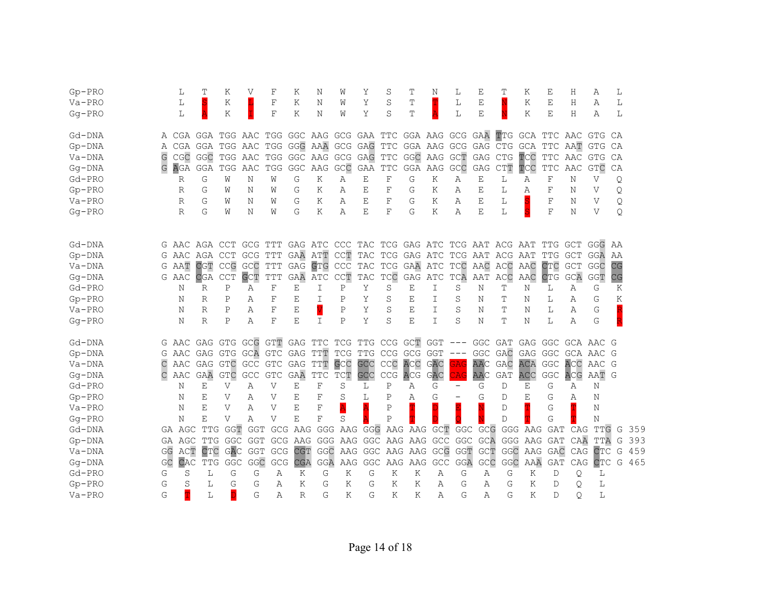| $Gp-PRO$   |    | L                                                                 | T            | Κ                   | V              | F            | Κ            | Ν                   | W                                | Υ       | S                                               | T          | Ν              | L                 | Ε          | Т                      | Κ       | Ε                                                | Η          | Α         | L  |     |
|------------|----|-------------------------------------------------------------------|--------------|---------------------|----------------|--------------|--------------|---------------------|----------------------------------|---------|-------------------------------------------------|------------|----------------|-------------------|------------|------------------------|---------|--------------------------------------------------|------------|-----------|----|-----|
| $Va-PRO$   |    | L                                                                 |              | Κ                   |                | F            | Κ            | Ν                   | W                                | Υ       | S                                               | Τ          |                | L                 | Ε          |                        | Κ       | Ε                                                | Η          | Α         | L  |     |
| $Gq$ -PRO  |    | L                                                                 |              | Κ                   |                | $_{\rm F}$   | K            | N                   | W                                | Y       | S                                               | Т          |                | L                 | E          |                        | K       | Ε                                                | Η          | Α         | L  |     |
| Gd-DNA     | A  | CGA GGA TGG AAC TGG GGC AAG GCG GAA TTC GGA AAG GCG GAA           |              |                     |                |              |              |                     |                                  |         |                                                 |            |                |                   |            | TTG GCA TTC AAC        |         |                                                  |            | GTG       | CA |     |
| $Gp-DNA$   | Α  | CGA GGA                                                           |              | TGG AAC             |                |              |              | TGG GGG AAA GCG GAG |                                  |         | TTC GGA AAG GCG GAG CTG                         |            |                |                   |            |                        | GCA     | TTC                                              | AAT        | GTG       | CA |     |
| Va-DNA     | G  | CGC                                                               | GGC          | TGG AAC             |                |              | TGG GGC      | AAG GCG GAG         |                                  |         | TTC                                             |            | GGC AAG GCT    |                   | GAG CTG    |                        | TCC     | TTC AAC                                          |            | GTG       | CA |     |
| $Gg - DNA$ | G  | AGA                                                               | GGA          | TGG                 | AAC            |              | TGG GGC      | AAG GCC             |                                  | GAA     | $_{\rm TTC}$                                    | GGA AAG    |                | GCC               | GAG        | $\mathsf{CTT}$         | TCC     | $\ensuremath{\mathcal{T}\mathcal{T}\mathcal{C}}$ | AAC        | GTC       | CA |     |
| $Gd-PRO$   |    | R                                                                 | G            | W                   | N              | W            | G            | K                   | Α                                | E       | $\rm F$                                         | G          | K              | Α                 | Ε          | L                      | Α       | $\rm F$                                          | Ν          | V         | Q  |     |
| $Gp-PRO$   |    | R                                                                 | G            | W                   | Ν              | W            | G            | K                   | Α                                | E       | F                                               | G          | Κ              | Α                 | Ε          | L                      | Α       | F                                                | Ν          | V         | Q  |     |
| $Va-PRO$   |    | R                                                                 | G            | W                   | N              | W            | G            | Κ                   | Α                                | Ε       | F                                               | G          | Κ              | Α                 | Ε          | L                      |         | F                                                | Ν          | V         | Q  |     |
| $Gg - PRO$ |    | $\mathbb{R}$                                                      | G            | W                   | Ν              | W            | G            | K                   | Α                                | E       | F                                               | G          | K              | Α                 | E          | L                      |         | F                                                | Ν          | V         | Q  |     |
|            |    |                                                                   |              |                     |                |              |              |                     |                                  |         |                                                 |            |                |                   |            |                        |         |                                                  |            |           |    |     |
| Gd-DNA     |    | G AAC AGA CCT GCG TTT GAG ATC CCC TAC TCG GAG ATC TCG AAT ACG AAT |              |                     |                |              |              |                     |                                  |         |                                                 |            |                |                   |            |                        |         | TTG GCT                                          |            | GGG       | AA |     |
| $Gp-DNA$   |    | G AAC AGA CCT                                                     |              |                     | GCG            | TTT          | GAA ATT      |                     |                                  |         | CCT TAC TCG GAG ATC TCG AAT ACG AAT             |            |                |                   |            |                        |         | TTG                                              | GCT        | GGA       | ΆA |     |
| Va-DNA     |    | G AAT                                                             | CGT          | CCG GCC             |                | <b>TTT</b>   | GAG          | GTG CCC             |                                  | TAC TCG |                                                 |            | GAA ATC        | TCC               | AAC        | ACC                    | AAC     | <b>CTC</b>                                       | <b>GCT</b> | GGC       | CG |     |
| $Gq$ -DNA  |    | G AAC                                                             | <b>CGA</b>   | <b>CCT</b>          | <b>GCT</b>     | TTT          | <b>GAA</b>   | ATC                 | $\mathbb{C}\mathbb{C}\mathbb{T}$ | TAC     | TCC                                             | GAG        | ATC            | TCA               | AAT        | ACC                    | AAC     | <b>CTG</b>                                       | GCA        | GGT       | CG |     |
| $Gd-PRO$   |    | N                                                                 | R            | Ρ                   | Α              | F            | Ε            | I                   | P                                | Υ       | S                                               | Ε          | Ι              | S                 | N          | т                      | Ν       | L                                                | Α          | G         | Κ  |     |
| $Gp-PRO$   |    | N                                                                 | R            | P                   | Α              | F            | Ε            | I                   | Ρ                                | Υ       | S                                               | Ε          | I              | S                 | N          | Т                      | Ν       | L                                                | Α          | G         | Κ  |     |
| $Va-PRO$   |    | N                                                                 | R            | P                   | Α              | F            | Е            | V                   | $\mathsf{P}$                     | Y       | S                                               | Ε          | I              | S                 | N          | Т                      | N       | L                                                | Α          | G         |    |     |
| $Gq$ -PRO  |    | N                                                                 | $\mathbb{R}$ | Ρ                   | Α              | F            | E            | I                   | $\mathsf{P}$                     | Y       | S                                               | E          | $\mathbf I$    | S                 | Ν          | T                      | Ν       | L                                                | Α          | G         |    |     |
| Gd-DNA     | G  | AAC                                                               |              |                     |                |              |              |                     |                                  |         | GAG GTG GCG GTT GAG TTC TCG TTG CCG GCT GGT     |            |                | $---$             | GGC GAT    |                        | GAG GGC |                                                  |            | GCA AAC G |    |     |
| $Gp-DNA$   | G  | AAC                                                               |              |                     |                |              |              |                     |                                  |         | GAG GTG GCA GTC GAG TTT TCG TTG CCG GCG GGT     |            |                | $---$             | GGC GAC    |                        |         | GAG GGC                                          |            | GCA AAC G |    |     |
| Va-DNA     |    | AAC GAG GTC GCC                                                   |              |                     |                |              | GTC GAG TTT  |                     | GCC                              | GCC     | CCC                                             | ACC        | GAC            | <b>GAG</b>        | <b>AAC</b> | GAC                    | ACA     | <b>GGC</b>                                       | ACC        | AAC G     |    |     |
| $Gq$ -DNA  | С  | AAC                                                               | GAA          | <b>GTC</b>          | GCC            | <b>GTC</b>   | GAA          | $_{\rm TTC}$        | TCT                              | GCC     | CCG                                             | <b>ACG</b> | GAC            | CAG               | AAC        | GAT                    | ACC     | $\operatorname{\mathsf{GGC}}$                    | <b>ACG</b> | AAT G     |    |     |
| $Gd-PRO$   |    | N                                                                 | Ε            | V                   | Α              | V            | Ε            | $\rm F$             | S                                | L       | Ρ                                               | Α          | G              | $\qquad \qquad -$ | G          | D                      | Ε       | G                                                | Α          | Ν         |    |     |
| $Gp-PRO$   |    | N                                                                 | Е            | V                   | Α              | $\mathbf{V}$ | Ε            | F                   | S                                | L       | Ρ                                               | Α          | G              |                   | G          | D                      | Ε       | G                                                | Α          | Ν         |    |     |
| $Va-PRO$   |    | Ν                                                                 | Ε            | V                   | Α              | V            | E            | F                   | $\overline{\mathbf{A}}$          |         | P                                               |            |                |                   |            | D                      |         | G                                                |            | Ν         |    |     |
| $Gq$ -PRO  |    | N                                                                 | Ε            | V                   | Α              | $\mathbf{V}$ | E            | $\mathbf F$         | S                                |         | P                                               |            |                |                   |            | D                      |         | G                                                |            | N         |    |     |
| Gd-DNA     |    | GA AGC                                                            |              | TTG GGT             | GGT            |              |              |                     |                                  |         | GCG AAG GGG AAG GGG AAG AAG GCT GGC GCG GGG AAG |            |                |                   |            |                        |         |                                                  | GAT CAG    | TTG       | G  | 359 |
| $Gp-DNA$   |    | GA AGC                                                            |              | TTG GGC GGT GCG AAG |                |              |              |                     |                                  |         | GGG AAG GGC AAG AAG GCC                         |            |                | GGC               |            | <b>GCA GGG AAG GAT</b> |         |                                                  | CAA        | TTA       | G  | 393 |
| Va-DNA     |    | GG ACT                                                            | CTC          | GAC                 | <b>GGT</b>     | GCG          | CGT          | GGC                 |                                  |         | AAG GGC AAG AAG                                 |            |                | GCG GGT           |            | GCT GGC AAG GAC        |         |                                                  | CAG        | CTC       | G  | 459 |
| $Gg - DNA$ | GC | CAC                                                               | <b>TTG</b>   | GGC                 | $\mathsf{GGC}$ | GCG          | <b>CGA</b>   | GGA                 | AAG                              | GGC     |                                                 | AAG AAG    | $\mathsf{GCC}$ | GGA               | GCC        | GGC                    | AAA     | GAT                                              | CAG        | CTC       | G  | 465 |
| $Gd-PRO$   | G  | S                                                                 | L            | G                   | G              | Α            | Κ            | G                   | Κ                                | G       | K                                               | K          | Α              | G                 | Α          | G                      | Κ       | D                                                | Q          | L         |    |     |
| $Gp-PRO$   | G  | S                                                                 | L            | G                   | G              | Α            | Κ            | G                   | Κ                                | G       | Κ                                               | K          | Α              | G                 | Α          | G                      | Κ       | D                                                | Q          | L         |    |     |
| $Va-PRO$   | G  | T                                                                 | L            | D                   | G              | Α            | $\mathbb{R}$ | G                   | K                                | G       | Κ                                               | K          | Α              | G                 | Α          | G                      | Κ       | D                                                | $\circ$    | L         |    |     |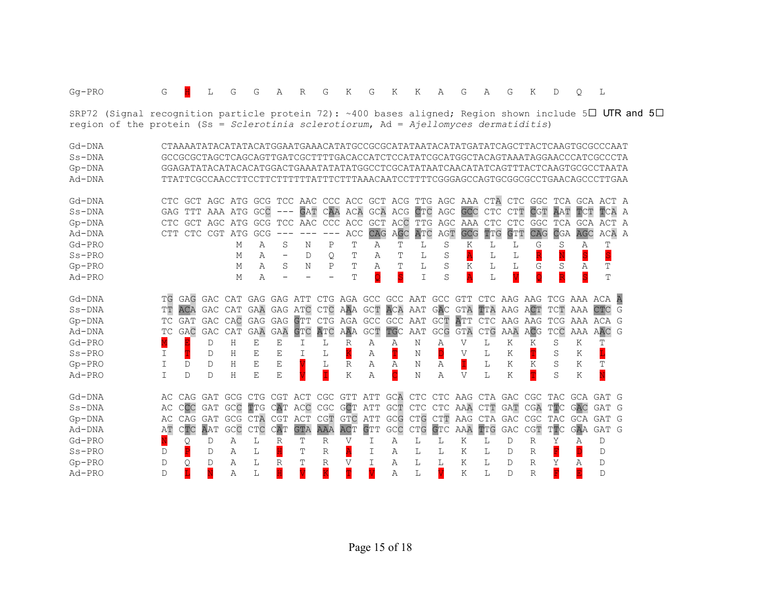| $Gq$ -PRO                                                                                                          | G            |              | L                   | G                   | G           | Α                       | R                     | G                       | Κ                       | G                       | K                       | Κ                           | Α   | G                       | A                   | G                                                                                 | K                               | D          | $\circ$                 | L                       |   |  |
|--------------------------------------------------------------------------------------------------------------------|--------------|--------------|---------------------|---------------------|-------------|-------------------------|-----------------------|-------------------------|-------------------------|-------------------------|-------------------------|-----------------------------|-----|-------------------------|---------------------|-----------------------------------------------------------------------------------|---------------------------------|------------|-------------------------|-------------------------|---|--|
| SRP72 (Signal recognition particle protein 72): ~400 bases aligned; Region shown include 5 $\Box$ UTR and 5 $\Box$ |              |              |                     |                     |             |                         |                       |                         |                         |                         |                         |                             |     |                         |                     |                                                                                   |                                 |            |                         |                         |   |  |
| region of the protein (Ss = Sclerotinia sclerotiorum, Ad = Ajellomyces dermatiditis)                               |              |              |                     |                     |             |                         |                       |                         |                         |                         |                         |                             |     |                         |                     |                                                                                   |                                 |            |                         |                         |   |  |
| Gd-DNA                                                                                                             |              |              |                     |                     |             |                         |                       |                         |                         |                         |                         |                             |     |                         |                     | CTAAAATATACATATACATGGAATGAAACATATGCCGCGCATATAATACATATGATATCAGCTTACTCAAGTGCGCCCAAT |                                 |            |                         |                         |   |  |
| $Ss-DNA$                                                                                                           |              |              |                     |                     |             |                         |                       |                         |                         |                         |                         |                             |     |                         |                     | GCCGCGCTAGCTCAGCAGTTGATCGCTTTTGACACCATCTCCATATCGCATGGCTACAGTAAATAGGAACCCATCGCCCTA |                                 |            |                         |                         |   |  |
| $Gp-DNA$                                                                                                           |              |              |                     |                     |             |                         |                       |                         |                         |                         |                         |                             |     |                         |                     | GGAGATATACATACACATGGACTGAAATATATATGGCCTCGCATATAATCAACATATCAGTTTACTCAAGTGCGCCTAATA |                                 |            |                         |                         |   |  |
| Ad-DNA                                                                                                             |              |              |                     |                     |             |                         |                       |                         |                         |                         |                         |                             |     |                         |                     | TTATTCGCCAACCTTCCTTCTTTTTATTTCTTTAAACAATCCTTTTCGGGAGCCAGTGCGGCGCCTGAACAGCCCTTGAA  |                                 |            |                         |                         |   |  |
| Gd-DNA                                                                                                             |              |              |                     |                     |             |                         |                       |                         |                         |                         |                         |                             |     |                         |                     | CTC GCT AGC ATG GCG TCC AAC CCC ACC GCT ACG TTG AGC AAA CTA CTC GGC TCA GCA ACT A |                                 |            |                         |                         |   |  |
| $Ss-DNA$                                                                                                           | GAG          |              | TTT AAA ATG         |                     | GCC         | $---$                   | <b>GAT</b>            | CAA                     |                         |                         |                         | ACA GCA ACG CTC AGC         |     | GCC                     | CTC                 | CTT                                                                               | <b>CGT</b>                      | AAT        | TCT                     | TCA A                   |   |  |
| $Gp-DNA$                                                                                                           | CTC.         |              | GCT AGC ATG         |                     | GCG         |                         |                       | TCC AAC CCC             | ACC                     | <b>GCT</b>              |                         | ACC TTG AGC                 |     | AAA                     | <b>CTC</b>          | CTC                                                                               | GGC                             | TCA        |                         | GCA ACT A               |   |  |
| Ad-DNA                                                                                                             | CTT          |              | CTC CGT ATG         |                     | GCG         | $---$                   |                       | $---$                   | ACC                     | CAG                     | AGC                     | ATC                         | AGT | GCG                     | TTG                 | <b>GTT</b>                                                                        | CAG                             | CGA        | <b>AGC</b>              | ACA A                   |   |  |
| $Gd-PRO$                                                                                                           |              |              |                     | М                   | Α           | S                       | N                     | Ρ                       | Т                       | Α                       | Т                       | L                           | S   | K                       | L                   | L                                                                                 | G                               | S          | Α                       | T                       |   |  |
| $Ss-PRO$                                                                                                           |              |              |                     | М                   | Α           |                         | D                     | Q                       | Т                       | Α                       | Т                       | L                           | S   |                         | L                   | L                                                                                 | $\overline{\mathbf{R}}$         |            | $\mathbf{s}$            | $\overline{\mathsf{s}}$ |   |  |
| $Gp-PRO$                                                                                                           |              |              |                     | М                   | Α           | S                       | N                     | $\rm P$                 | T                       | Α                       | Т                       | L                           | S   | Κ                       | L                   | L                                                                                 | G                               | S          | Α                       | Т                       |   |  |
| Ad-PRO                                                                                                             |              |              |                     | М                   | Α           |                         |                       |                         | T                       | $\overline{\mathtt{Q}}$ | $\overline{\mathbf{s}}$ | $\mathbbm{I}$               | S   | $\overline{\mathtt{A}}$ | $\mathbf L$         |                                                                                   |                                 |            | $\overline{\mathbf{s}}$ | $\mathbf T$             |   |  |
| Gd-DNA                                                                                                             | TG           | GAG          |                     | GAC CAT GAG GAG ATT |             |                         |                       |                         |                         |                         |                         |                             |     |                         |                     | CTG AGA GCC GCC AAT GCC GTT CTC AAG AAG TCG AAA ACA                               |                                 |            |                         |                         | A |  |
| $Ss-DNA$                                                                                                           | ТT           | ACA          | GAC CAT             |                     | GAA GAG ATC |                         |                       |                         |                         | CTC AAA GCT             | ACA                     | AAT                         | GAC | GTA                     | TTA                 | AAG ACT                                                                           |                                 |            | TCT AAA CTC             |                         | G |  |
| $Gp-DNA$                                                                                                           | ТC           | GAT          | GAC CAC GAG         |                     |             | GAG                     | <b>GTT</b>            |                         |                         |                         |                         | CTG AGA GCC GCC AAT GCT ATT |     |                         |                     | CTC AAG AAG TCG AAA ACA                                                           |                                 |            |                         |                         | G |  |
| Ad-DNA                                                                                                             | ТC           | GAC          | GAC CAT             |                     | <b>GAA</b>  | GAA                     | <b>GTC</b>            | ATC                     |                         | AAA GCT                 | TGC                     | AAT                         |     | GCG GTA                 | $\mathbf{CTG}$      | AAA ACG                                                                           |                                 | TCC        | AAA AAC                 |                         | G |  |
| Gd-PRO                                                                                                             |              |              | D                   | Н                   | Ε           | Ε                       | I                     | L                       | R                       | Α                       | Α                       | Ν                           | Α   | V                       | L                   | K                                                                                 | Κ                               | S          | Κ                       | Т                       |   |  |
| $Ss-PRO$                                                                                                           | Ι            |              | D                   | Н                   | Ε           | Ε                       | I                     | L                       |                         | Α                       | T                       | Ν                           |     | V                       | L                   | Κ                                                                                 |                                 | S          | Κ                       |                         |   |  |
| $Gp-PRO$                                                                                                           | $\mathbb{I}$ | <sup>D</sup> | <sup>D</sup>        | H                   | Ε           | Ε                       |                       | L                       | R                       | Α                       | A                       | Ν                           | Α   | I                       | L                   | Κ                                                                                 | K                               | S          | K                       | T                       |   |  |
| Ad-PRO                                                                                                             | T.           | D            | D                   | Н                   | E           | Ε                       |                       | Ī                       | K                       | Α                       | $\overline{\mathsf{C}}$ | Ν                           | Α   | V                       | L                   | K                                                                                 |                                 | S          | Κ                       |                         |   |  |
| Gd-DNA                                                                                                             | AC           | CAG          | GAT                 | GCG CTG CGT         |             |                         | ACT                   |                         |                         |                         | CGC GTT ATT GCA         |                             |     |                         |                     | CTC CTC AAG CTA GAC CGC TAC GCA GAT G                                             |                                 |            |                         |                         |   |  |
| $Ss-DNA$                                                                                                           | AС           | CC           | GAT                 | GCC                 | TTG CAT     |                         | ACC                   |                         | CGC GCT                 |                         | ATT GCT                 |                             |     |                         | CTC CTC AAA CTT GAT |                                                                                   | CGA                             | <b>TTC</b> | GAC                     | GAT G                   |   |  |
| $Gp-DNA$                                                                                                           |              | AC CAG       | GAT GCG CTA CGT ACT |                     |             |                         |                       |                         |                         | CGT GTC ATT GCG         |                         |                             |     |                         | CTG CTT AAG CTA GAC |                                                                                   |                                 |            |                         | CGC TAC GCA GAT G       |   |  |
| Ad-DNA                                                                                                             | AΤ           | CTC          | AAT                 | GCC                 | CTC         | CAT                     | <b>GTA</b>            | AAA                     | ACT                     | GTT                     | GCC                     | CTG                         | GTC | AAA                     | TTG                 | ${\sf GAC}$                                                                       | $\mathbb C \mathbb G \mathbb T$ | TTC        | GAA                     | GAT G                   |   |  |
| Gd-PRO                                                                                                             |              | Q.           | D                   | Α                   | L           | R                       | Т                     | R                       | V                       | I                       | Α                       | L                           | L   | Κ                       | L                   | D                                                                                 | R                               | Υ          | Α                       | D                       |   |  |
| $Ss-PRO$                                                                                                           | D            |              | D                   | Α                   | L           | $\overline{\mathbf{H}}$ | Т                     | R                       | $\overline{\mathsf{A}}$ | I                       | Α                       | L                           | L   | Κ                       | L                   | D                                                                                 | R                               |            |                         | D                       |   |  |
| $Gp-PRO$                                                                                                           | D            | О            | D                   | Α                   | L           | $\mathbb{R}$            | Т                     | R                       | $\mathbf{V}$            | I                       | Α                       | L                           | L   | Κ                       | L                   | D                                                                                 | R                               |            | Α                       | D                       |   |  |
| Ad-PRO                                                                                                             | $\mathsf{D}$ |              |                     | Α                   | L           | $\mathbf H$             | $\overline{\text{V}}$ | $\overline{\mathrm{K}}$ |                         |                         | Α                       | L                           |     | K                       | L                   | $\mathbb D$                                                                       | R                               |            | E                       | $\mathbb D$             |   |  |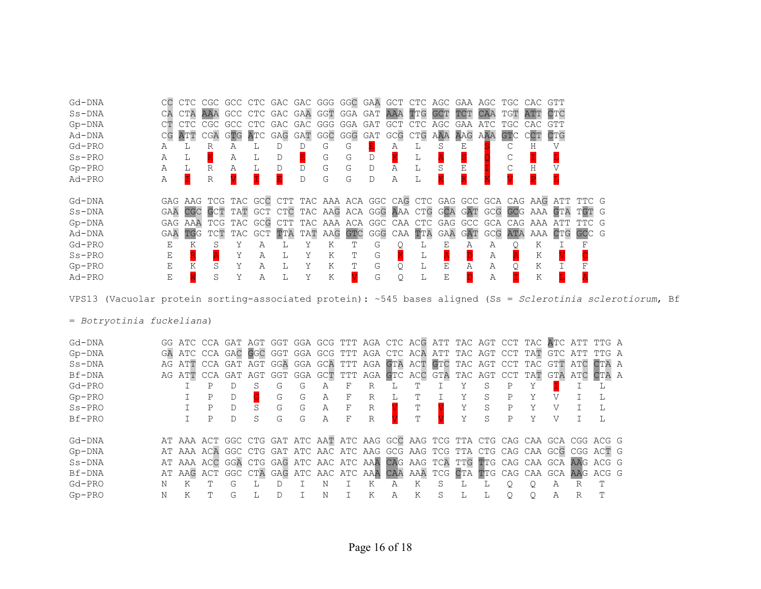| Gd-DNA   | CC  |         |     |     |      | CTC CGC GCC CTC GAC GAC GGG GGC GAA GCT CTC AGC GAA AGC TGC CAC GTT |         |     |     |                 |            |     |     |     |         |     |            |                                                                               |       |  |
|----------|-----|---------|-----|-----|------|---------------------------------------------------------------------|---------|-----|-----|-----------------|------------|-----|-----|-----|---------|-----|------------|-------------------------------------------------------------------------------|-------|--|
| $Ss-DNA$ | CA  | CTA AAA |     |     |      | GCC CTC GAC GAA GGT GGA                                             |         |     |     | GAT             | AAA TTG    |     | GCT |     | CAA     | TGT | ATT        | $\mathop{\hbox{\rm CTC}}\nolimits$                                            |       |  |
| $Gp-DNA$ |     |         |     |     | CTC. | GAC                                                                 | GAC     | GGG | GGA | GAT             | <b>GCT</b> |     | AGC |     |         |     |            |                                                                               |       |  |
| Ad-DNA   | CG  | ATT     | CGA | GTC | ATC  | GAG GAT                                                             |         | GGC | GGG | GAT GCG CTG AAA |            |     |     | AAG | AAA     | GTC | <b>CCT</b> | <b>CTG</b>                                                                    |       |  |
| $Gd-PRO$ | Α   |         | R   |     |      | D                                                                   |         | G   | G   |                 | Α          | ⊥   |     | Ε   |         |     |            |                                                                               |       |  |
| $Ss-PRO$ | Α   | L       |     | Α   | L    | D                                                                   |         | G   | G   | D               |            | ⊥   |     |     |         |     |            |                                                                               |       |  |
| $Gp-PRO$ | Α   | L       | R   | Α   |      | D                                                                   | D       | G   | G   | D               | Α          | L   |     |     |         |     | Η          |                                                                               |       |  |
| Ad-PRO   | Α   |         | R   |     |      |                                                                     | D       | G   | G   | D               | Α          | L   |     |     |         |     |            |                                                                               |       |  |
|          |     |         |     |     |      |                                                                     |         |     |     |                 |            |     |     |     |         |     |            |                                                                               |       |  |
|          |     |         |     |     |      |                                                                     |         |     |     |                 |            |     |     |     |         |     |            |                                                                               |       |  |
| Gd-DNA   |     |         |     |     |      |                                                                     |         |     |     |                 |            |     |     |     |         |     |            | GAG AAG TCG TAC GCC CTT TAC AAA ACA GGC CAG CTC GAG GCC GCA CAG AAG ATT TTC G |       |  |
| $Ss-DNA$ | GAA |         |     |     |      |                                                                     |         |     |     |                 |            |     |     |     |         |     |            | CGC GCT TAT GCT CTC TAC AAG ACA GGG AAA CTG GCA GAT GCG GCG AAA GTA TGT G     |       |  |
| $Gp-DNA$ | GAG |         |     |     |      | AAA TCG TAC GCG CTT TAC AAA ACA GGC CAA                             |         |     |     |                 |            | CTC | GAG |     | GCC GCA | CAG | AAA        | ATT                                                                           |       |  |
| Ad-DNA   | GAA | TGG     | TCT | TAC | GCT  |                                                                     | TTA TAT | AAG | GTC | GGG             | CAA        | TTA | GAA | GAT | GCG     | ATA |            | AAA CTG                                                                       | GCC G |  |
| $Gd-PRO$ | Ε   | K       |     |     | А    |                                                                     |         | K   |     | G               |            |     | E   | А   | Α       |     | Κ          |                                                                               |       |  |
| $Ss-PRO$ | Ε   |         |     | Y   | Α    | L                                                                   | Y       | Κ   | т   | G               |            |     |     |     | Α       |     | Κ          |                                                                               |       |  |
| $Gp-PRO$ | Ε   | K       | S   | Y   | Α    | L                                                                   |         | Κ   | Т   | G               | Q          | L   | Ε   | А   | Α       |     | Κ          |                                                                               |       |  |

VPS13 (Vacuolar protein sorting-associated protein): ~545 bases aligned (Ss = *Sclerotinia sclerotiorum*, Bf

= *Botryotinia fuckeliana*)

| Gd-DNA   |   |   |   |   |   |   |   |   |   |   |                |   |   |   |   |   |   | GG ATC CCA GAT AGT GGT GGA GCG TTT AGA CTC ACG ATT TAC AGT CCT TAC ATC ATT TTG A |  |
|----------|---|---|---|---|---|---|---|---|---|---|----------------|---|---|---|---|---|---|----------------------------------------------------------------------------------|--|
| $Gp-DNA$ |   |   |   |   |   |   |   |   |   |   |                |   |   |   |   |   |   | GA ATC CCA GAC GGC GGT GGA GCG TTT AGA CTC ACA ATT TAC AGT CCT TAT GTC ATT TTG A |  |
| $Ss-DNA$ |   |   |   |   |   |   |   |   |   |   |                |   |   |   |   |   |   | AG ATT CCA GAT AGT GGA GGA GCA TTT AGA GTA ACT GTC TAC AGT CCT TAC GTT ATC CTA A |  |
| Bf-DNA   |   |   |   |   |   |   |   |   |   |   |                |   |   |   |   |   |   | AG ATT CCA GAT AGT GGT GGA GCT TTT AGA GTC ACC GTA TAC AGT CCT TAT GTA ATC CTA A |  |
| $Gd-PRO$ |   |   |   |   | G | G | А | F | R |   |                |   | S |   |   |   |   |                                                                                  |  |
| $Gp-PRO$ |   | Ρ |   |   | G | G | Α | F | R |   | Ͳ              |   | S | P |   |   |   |                                                                                  |  |
| $Ss-PRO$ |   | Р | D |   | G | G | Α | F | R |   |                |   | S | Ρ |   | V |   |                                                                                  |  |
| Bf-PRO   |   | Ρ | D | S | G | G | А | F | R |   | $\blacksquare$ |   | S | P | v |   |   |                                                                                  |  |
| Gd-DNA   |   |   |   |   |   |   |   |   |   |   |                |   |   |   |   |   |   | AT AAA ACT GGC CTG GAT ATC AAT ATC AAG GCC AAG TCG TTA CTG CAG CAA GCA CGG ACG G |  |
| $Gp-DNA$ |   |   |   |   |   |   |   |   |   |   |                |   |   |   |   |   |   | AT AAA ACA GGC CTG GAT ATC AAC ATC AAG GCG AAG TCG TTA CTG CAG CAA GCG CGG ACT G |  |
| $Ss-DNA$ |   |   |   |   |   |   |   |   |   |   |                |   |   |   |   |   |   | AT AAA ACC GGA CTG GAG ATC AAC ATC AAA CAG AAG TCA TTG TTG CAG CAA GCA AAG ACG G |  |
| Bf-DNA   |   |   |   |   |   |   |   |   |   |   |                |   |   |   |   |   |   | AT AAG ACT GGC CTA GAG ATC AAC ATC AAA CAA AAA TCG CTA TTG CAG CAA GCA AAG ACG G |  |
| $Gd-PRO$ |   |   | G |   |   |   | N |   | Κ | Α | Κ              | S |   |   |   | Α | R |                                                                                  |  |
| $Gp-PRO$ | N |   | G |   |   |   | Ν |   | K | А | Κ              | S |   |   | O | Α | R |                                                                                  |  |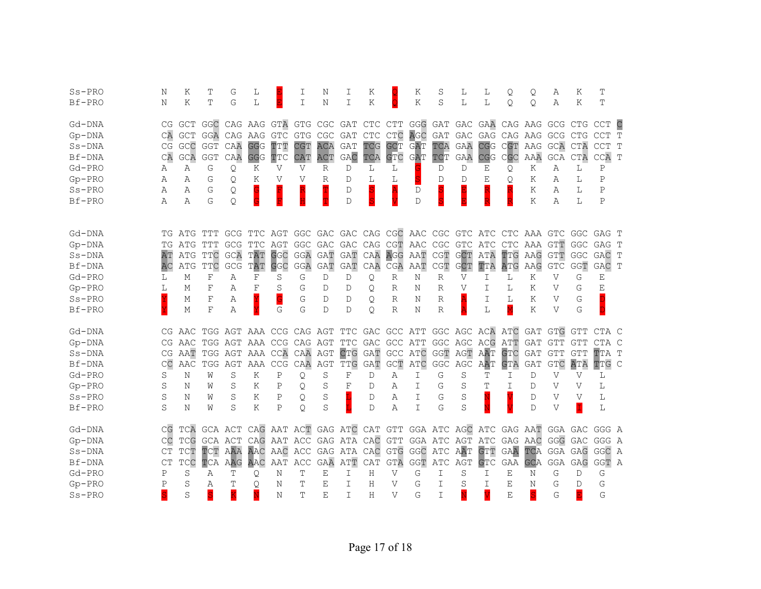| $Ss-PRO$             | N              | K       | Т            | G           | L                                                                       |             | I                                       | N          | I          | K               |                                       | K             | S                               | L           | L               | Q               | Q                                       | Α            | Κ            | T           |               |
|----------------------|----------------|---------|--------------|-------------|-------------------------------------------------------------------------|-------------|-----------------------------------------|------------|------------|-----------------|---------------------------------------|---------------|---------------------------------|-------------|-----------------|-----------------|-----------------------------------------|--------------|--------------|-------------|---------------|
| Bf-PRO               | Ν              | K       | T            | G           | L                                                                       |             | I                                       | N          | I          | K               |                                       | Κ             | S                               | L           | L               | Q.              | Q.                                      | Α            | K            | Т           |               |
|                      |                |         |              |             |                                                                         |             |                                         |            |            |                 |                                       |               |                                 |             |                 |                 |                                         |              |              |             |               |
| Gd-DNA               | CG             |         | GCT GGC      |             | CAG AAG GTA                                                             |             | <b>GTG</b>                              | CGC        | GAT        | CTC CTT         |                                       |               |                                 |             |                 |                 | GGG GAT GAC GAA CAG AAG GCG CTG         |              |              | <b>CCT</b>  | $\mathsf{C}$  |
| $Gp-DNA$             | CA             | GCT     | GGA CAG AAG  |             |                                                                         | GTC         | GTG                                     | CGC        | GAT        | CTC CTC         |                                       | AGC           | GAT                             |             |                 |                 | GAC GAG CAG AAG GCG CTG                 |              |              | <b>CCT</b>  | T             |
| $Ss-DNA$             | CG             | GCC     | GGT          | CAA         | <b>GGG</b>                                                              | TTT         | <b>CGT</b>                              | ACA        | GAT        | TCG             | <b>GCT</b>                            | GAT           | TCA                             | GAA         | <b>CGG</b>      | CGT             |                                         | AAG GCA CTA  |              | <b>CCT</b>  | T             |
| Bf-DNA               | CA             | GCA     | <b>GGT</b>   | CAA         | <b>GGG</b>                                                              | TTC         | CAT                                     | ACT        | GAC        | TCA             | <b>GTC</b>                            | GAT           | TCT                             | GAA         | CGG             | CGC             | AAA                                     | GCA          | CTA          | CCA T       |               |
| Gd-PRO               | Α              | Α       | G            | Q.          | Κ                                                                       | V           | $\mathbf V$                             | R          | D          | L               | L                                     |               | D                               | D           | Ε               | Q.              | Κ                                       | Α            | L            | Ρ           |               |
| $Gp-PRO$             | Α              | Α       | G            | Q.          | Κ                                                                       | V           | V                                       | R          | D          | L               | L                                     |               | D                               | D           | Ε               | Q.              | Κ                                       | Α            | L            | Ρ           |               |
| $Ss-PRO$             | Α              | Α       | G            | Q           |                                                                         |             |                                         |            | D          | S               |                                       | D             |                                 |             |                 |                 | Κ                                       | A            | L            | $\mathbf P$ |               |
| Bf-PRO               | Α              | Α       | G            | Q           |                                                                         |             |                                         |            | D          | S               |                                       | $\mathbb D$   |                                 |             |                 |                 | Κ                                       | Α            | L            | $\mathbf P$ |               |
|                      |                |         |              |             |                                                                         |             |                                         |            |            |                 |                                       |               |                                 |             |                 |                 |                                         |              |              |             |               |
| Gd-DNA               | ТG             |         |              |             | ATG TTT GCG TTC AGT GGC GAC GAC CAG CGC AAC CGC GTC ATC CTC AAA GTC GGC |             |                                         |            |            |                 |                                       |               |                                 |             |                 |                 |                                         |              |              | GAG T       |               |
| $Gp-DNA$             | ТG             |         | ATG TTT      | <b>GCG</b>  | <b>TTC</b>                                                              | AGT         | <b>GGC</b>                              | GAC        | <b>GAC</b> | CAG CGT AAC     |                                       |               | CGC                             | GTC ATC     |                 |                 | CTC AAA GTT                             |              | <b>GGC</b>   | GAG T       |               |
| $Ss-DNA$             | AΤ             | ATG TTC |              | GCA         | TAT                                                                     | GGC         | GGA                                     | <b>GAT</b> | <b>GAT</b> | CAA             | AGG AAT                               |               | CGT                             | <b>GCT</b>  | ATA             | TTG             | AAG                                     | GTT          | GGC          | GAC         | T             |
| Bf-DNA               | AC             | ATG     | $_{\rm TTC}$ | GCG         | TAT                                                                     | GGC         | GGA                                     | GAT        | GAT        | CAA             | CGA                                   | AAT           | $\mathbb C \mathbb G \mathbb T$ | GCT         | TTA             | ATG             | AAG                                     | <b>GTC</b>   | GGT          | GAC         | T             |
| Gd-PRO               | L              | М       | $\rm F$      | Α           | F                                                                       | S           | G                                       | D          | D          | Q               | R                                     | Ν             | R                               | V           | I               | L               | Κ                                       | V            | G            | Е           |               |
| $Gp-PRO$             | L              | М       | F            | Α           | $_{\rm F}$                                                              | S           | G                                       | D          | D          | Q.              | R                                     | Ν             | R                               | V           | T               | L               | Κ                                       | V            | G            | E           |               |
|                      |                |         |              |             |                                                                         |             |                                         |            |            |                 |                                       |               |                                 |             |                 |                 |                                         |              |              |             |               |
|                      |                |         |              |             |                                                                         |             |                                         |            |            |                 |                                       |               |                                 |             |                 |                 |                                         |              |              |             |               |
| $Ss-PRO$             |                | М       | $\mathbf{F}$ | Α           |                                                                         | G           | G                                       | D          | D          | Q               | R                                     | Ν             | R                               |             | I               | L               | K                                       | V            | G            |             |               |
| Bf-PRO               |                | М       | $\mathbf F$  | Α           |                                                                         | G           | G                                       | D          | D          | Q.              | $\mathbb{R}$                          | N             | $\mathbb{R}$                    |             | L               | M               | Κ                                       | $\mathbf{V}$ | G            |             |               |
| Gd-DNA               | CG.            |         |              |             | AAC TGG AGT AAA CCG CAG AGT                                             |             |                                         |            |            |                 |                                       |               |                                 |             |                 |                 | TTC GAC GCC ATT GGC AGC ACA ATC GAT GTG |              | <b>GTT</b>   | CTA C       |               |
| $Gp-DNA$             |                |         |              |             | CG AAC TGG AGT AAA CCG CAG AGT                                          |             |                                         |            |            | TTC GAC GCC ATT |                                       |               |                                 | GGC AGC ACG |                 | ATT             | GAT GTT                                 |              | <b>GTT</b>   | CTA C       |               |
| $Ss-DNA$             | CG             | AAT     |              |             | TGG AGT AAA CCA                                                         |             | CAA AGT                                 |            | CTG        | GAT             | GCC ATC                               |               |                                 |             |                 | <b>GTC</b>      | GAT                                     | <b>GTT</b>   | <b>GTT</b>   | TTA T       |               |
| Bf-DNA               | CC             | AAC     |              | TGG AGT AAA |                                                                         | CCG         | CAA                                     |            | TTG        |                 |                                       |               | $\operatorname{\mathsf{GGC}}$   | GGT AGT AAT |                 |                 | <b>GAT</b>                              |              |              |             | $\mathcal{C}$ |
| Gd-PRO               | S              | Ν       | W            | S           | Κ                                                                       | Ρ           | Q                                       | AGT<br>S   | F          | GAT<br>D        | $\mathsf{G}\mathsf{C}\mathbb{T}$<br>Α | ATC<br>I      | G                               | AGC<br>S    | <b>AAT</b><br>Т | <b>GTA</b><br>I | D                                       | GTC<br>V     | ATA<br>V     | TTG<br>L    |               |
| $Gp-PRO$             | S              | Ν       | W            | S           | Κ                                                                       | Ρ           | Q                                       | S          | F          | D               | Α                                     | I             | G                               | S           | т               | T               | D                                       | V            | V            | L           |               |
| $Ss-PRO$             | S              | Ν       | W            | S           | Κ                                                                       | $\mathbf P$ |                                         | S          |            | D               | Α                                     | $\mathbbm{I}$ | G                               | S           |                 |                 | D                                       | $\mathbf{V}$ | $\mathbf{V}$ | L           |               |
| Bf-PRO               | S              | Ν       | W            | S           | Κ                                                                       | $\mathbf P$ | Q<br>$\circ$                            | S          |            | D               | Α                                     | I             | G                               | S           |                 |                 | $\mathbb D$                             | V            |              | L           |               |
|                      |                |         |              |             |                                                                         |             |                                         |            |            |                 |                                       |               |                                 |             |                 |                 |                                         |              |              |             |               |
| Gd-DNA               | CG             | TCA     | GCA ACT      |             | CAG AAT ACT GAG ATC CAT GTT GGA ATC AGC ATC GAG AAT GGA GAC GGG A       |             |                                         |            |            |                 |                                       |               |                                 |             |                 |                 |                                         |              |              |             |               |
| $Gp-DNA$             | CC             | TCG     | GCA ACT      |             |                                                                         |             | CAG AAT ACC GAG ATA CAC GTT GGA ATC AGT |            |            |                 |                                       |               |                                 |             |                 |                 | ATC GAG AAC GGG GAC                     |              |              | GGG A       |               |
| $Ss-DNA$             | CT             | TCT     | TCT          | AAA         | AAC                                                                     | AAC         | ACC                                     |            |            | GAG ATA CAC     | GTG GGC ATC                           |               |                                 | AAT         | GTT             | <b>GAA</b>      | TCA                                     | GGA GAG      |              | GGC A       |               |
| Bf-DNA               | C <sub>T</sub> | TCC     | TCA          | AAG         | AAC                                                                     | AAT         | ACC                                     | GAA        | ATT        | CAT             | <b>GTA</b>                            | GGT           | ATC                             | AGT         | GTC             | GAA             | <b>GCA</b>                              | GGA          | GAG          | GGT A       |               |
| Gd-PRO               | Ρ              | S       | Α            | Т           | Q                                                                       | N           | Т                                       | Ε          | Ι          | H               | V                                     | G             | I.                              | S           | I               | Е               | N                                       | G            | D            | G           |               |
| $Gp-PRO$<br>$Ss-PRO$ | Ρ              | S<br>S  | Α<br>Š       | Ͳ<br>K      | Q                                                                       | N<br>N      | т<br>Ͳ                                  | Ε<br>Ε     | I<br>T     | Н<br>H          | V<br>$\mathbf{V}$                     | G<br>G        | I.<br>I                         | S           | Ι<br>V          | Е<br>E          | N<br>S                                  | G<br>G       | D            | G<br>G      |               |